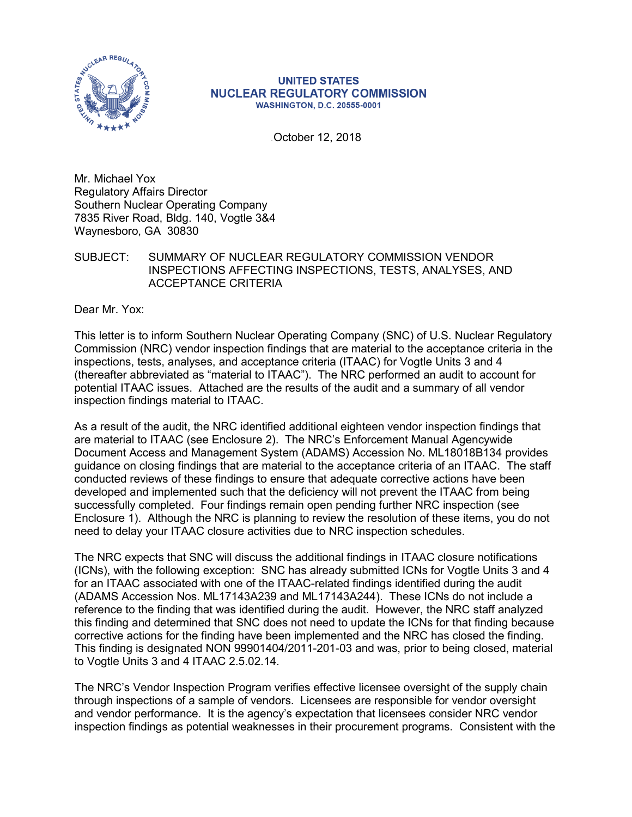

#### **UNITED STATES NUCLEAR REGULATORY COMMISSION WASHINGTON, D.C. 20555-0001**

.October 12, 2018

Mr. Michael Yox Regulatory Affairs Director Southern Nuclear Operating Company 7835 River Road, Bldg. 140, Vogtle 3&4 Waynesboro, GA 30830

SUBJECT: SUMMARY OF NUCLEAR REGULATORY COMMISSION VENDOR INSPECTIONS AFFECTING INSPECTIONS, TESTS, ANALYSES, AND ACCEPTANCE CRITERIA

Dear Mr. Yox:

This letter is to inform Southern Nuclear Operating Company (SNC) of U.S. Nuclear Regulatory Commission (NRC) vendor inspection findings that are material to the acceptance criteria in the inspections, tests, analyses, and acceptance criteria (ITAAC) for Vogtle Units 3 and 4 (thereafter abbreviated as "material to ITAAC"). The NRC performed an audit to account for potential ITAAC issues. Attached are the results of the audit and a summary of all vendor inspection findings material to ITAAC.

As a result of the audit, the NRC identified additional eighteen vendor inspection findings that are material to ITAAC (see Enclosure 2). The NRC's Enforcement Manual Agencywide Document Access and Management System (ADAMS) Accession No. ML18018B134 provides guidance on closing findings that are material to the acceptance criteria of an ITAAC. The staff conducted reviews of these findings to ensure that adequate corrective actions have been developed and implemented such that the deficiency will not prevent the ITAAC from being successfully completed. Four findings remain open pending further NRC inspection (see Enclosure 1). Although the NRC is planning to review the resolution of these items, you do not need to delay your ITAAC closure activities due to NRC inspection schedules.

The NRC expects that SNC will discuss the additional findings in ITAAC closure notifications (ICNs), with the following exception: SNC has already submitted ICNs for Vogtle Units 3 and 4 for an ITAAC associated with one of the ITAAC-related findings identified during the audit (ADAMS Accession Nos. ML17143A239 and ML17143A244). These ICNs do not include a reference to the finding that was identified during the audit. However, the NRC staff analyzed this finding and determined that SNC does not need to update the ICNs for that finding because corrective actions for the finding have been implemented and the NRC has closed the finding. This finding is designated NON 99901404/2011-201-03 and was, prior to being closed, material to Vogtle Units 3 and 4 ITAAC 2.5.02.14.

The NRC's Vendor Inspection Program verifies effective licensee oversight of the supply chain through inspections of a sample of vendors. Licensees are responsible for vendor oversight and vendor performance. It is the agency's expectation that licensees consider NRC vendor inspection findings as potential weaknesses in their procurement programs. Consistent with the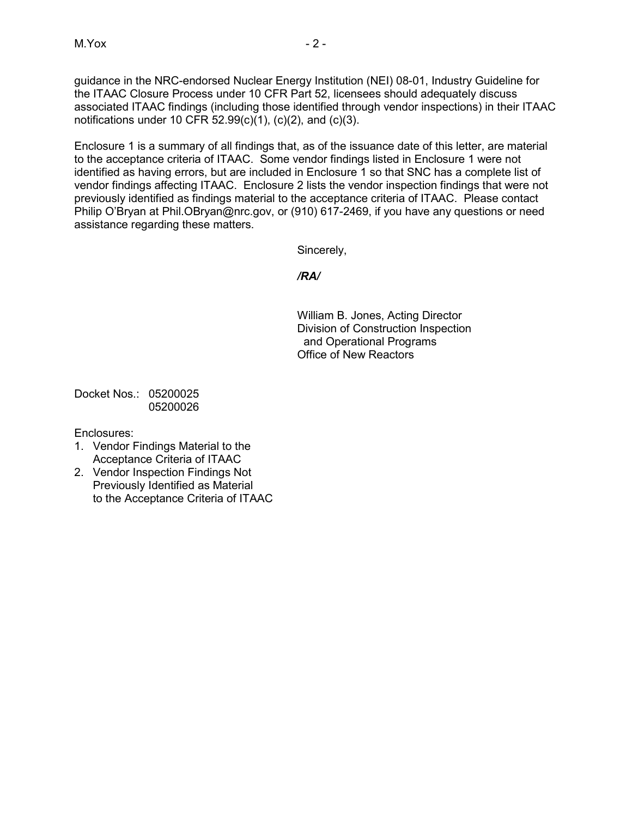guidance in the NRC-endorsed Nuclear Energy Institution (NEI) 08-01, Industry Guideline for the ITAAC Closure Process under 10 CFR Part 52, licensees should adequately discuss associated ITAAC findings (including those identified through vendor inspections) in their ITAAC notifications under 10 CFR  $52.99(c)(1)$ ,  $(c)(2)$ , and  $(c)(3)$ .

Enclosure 1 is a summary of all findings that, as of the issuance date of this letter, are material to the acceptance criteria of ITAAC. Some vendor findings listed in Enclosure 1 were not identified as having errors, but are included in Enclosure 1 so that SNC has a complete list of vendor findings affecting ITAAC. Enclosure 2 lists the vendor inspection findings that were not previously identified as findings material to the acceptance criteria of ITAAC. Please contact Philip O'Bryan at Phil.OBryan@nrc.gov, or (910) 617-2469, if you have any questions or need assistance regarding these matters.

Sincerely,

*/RA/*

William B. Jones, Acting Director Division of Construction Inspection and Operational Programs Office of New Reactors

Docket Nos.: 05200025 05200026

Enclosures:

- 1. Vendor Findings Material to the Acceptance Criteria of ITAAC
- 2. Vendor Inspection Findings Not Previously Identified as Material to the Acceptance Criteria of ITAAC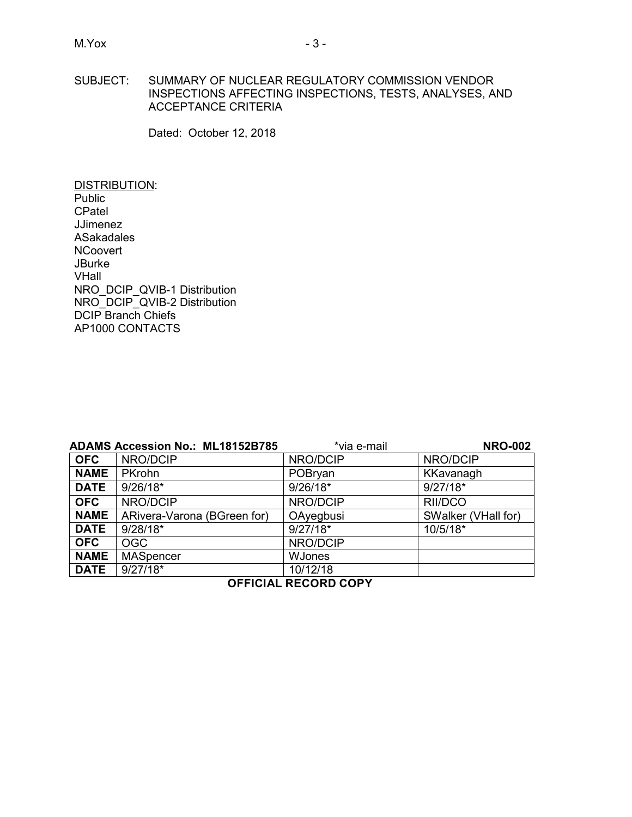# SUBJECT: SUMMARY OF NUCLEAR REGULATORY COMMISSION VENDOR INSPECTIONS AFFECTING INSPECTIONS, TESTS, ANALYSES, AND ACCEPTANCE CRITERIA

Dated: October 12, 2018

DISTRIBUTION: **Public CPatel** JJimenez ASakadales **NCoovert JBurke** VHall NRO\_DCIP\_QVIB-1 Distribution NRO\_DCIP\_QVIB-2 Distribution DCIP Branch Chiefs AP1000 CONTACTS

|             | <b>ADAMS Accession No.: ML18152B785</b> | *via e-mail   | <b>NRO-002</b>      |
|-------------|-----------------------------------------|---------------|---------------------|
| <b>OFC</b>  | NRO/DCIP                                | NRO/DCIP      | NRO/DCIP            |
| <b>NAME</b> | <b>PKrohn</b>                           | POBryan       | KKavanagh           |
| <b>DATE</b> | $9/26/18*$                              | $9/26/18*$    | $9/27/18*$          |
| <b>OFC</b>  | NRO/DCIP                                | NRO/DCIP      | RII/DCO             |
| <b>NAME</b> | ARivera-Varona (BGreen for)             | OAyegbusi     | SWalker (VHall for) |
| <b>DATE</b> | $9/28/18*$                              | $9/27/18*$    | 10/5/18*            |
| <b>OFC</b>  | <b>OGC</b>                              | NRO/DCIP      |                     |
| <b>NAME</b> | <b>MASpencer</b>                        | <b>WJones</b> |                     |
| <b>DATE</b> | $9/27/18*$                              | 10/12/18      |                     |

# **OFFICIAL RECORD COPY**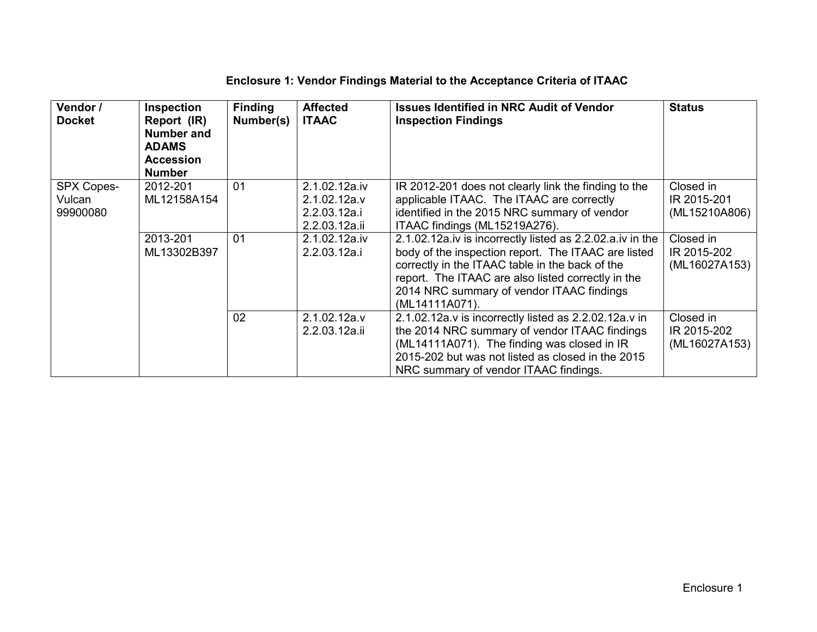| Vendor /<br><b>Docket</b>        | <b>Inspection</b><br>Report (IR)<br>Number and<br><b>ADAMS</b><br><b>Accession</b><br><b>Number</b> | <b>Finding</b><br>Number(s) | <b>Affected</b><br><b>ITAAC</b>                                | <b>Issues Identified in NRC Audit of Vendor</b><br><b>Inspection Findings</b>                                                                                                                                                                                                            | <b>Status</b>                             |
|----------------------------------|-----------------------------------------------------------------------------------------------------|-----------------------------|----------------------------------------------------------------|------------------------------------------------------------------------------------------------------------------------------------------------------------------------------------------------------------------------------------------------------------------------------------------|-------------------------------------------|
| SPX Copes-<br>Vulcan<br>99900080 | 2012-201<br>ML12158A154                                                                             | 01                          | 2.1.02.12a.iv<br>2.1.02.12a.v<br>2.2.03.12a.i<br>2.2.03.12a.ii | IR 2012-201 does not clearly link the finding to the<br>applicable ITAAC. The ITAAC are correctly<br>identified in the 2015 NRC summary of vendor<br>ITAAC findings (ML15219A276).                                                                                                       | Closed in<br>IR 2015-201<br>(ML15210A806) |
|                                  | 2013-201<br>ML13302B397                                                                             | 01                          | 2.1.02.12a.iv<br>2.2.03.12a.i                                  | 2.1.02.12a.iv is incorrectly listed as 2.2.02.a.iv in the<br>body of the inspection report. The ITAAC are listed<br>correctly in the ITAAC table in the back of the<br>report. The ITAAC are also listed correctly in the<br>2014 NRC summary of vendor ITAAC findings<br>(ML14111A071). | Closed in<br>IR 2015-202<br>(ML16027A153) |
|                                  |                                                                                                     | 02                          | 2.1.02.12a.v<br>2.2.03.12a.ii                                  | $2.1.02.12a.v$ is incorrectly listed as $2.2.02.12a.v$ in<br>the 2014 NRC summary of vendor ITAAC findings<br>(ML14111A071). The finding was closed in IR<br>2015-202 but was not listed as closed in the 2015<br>NRC summary of vendor ITAAC findings.                                  | Closed in<br>IR 2015-202<br>(ML16027A153) |

# **Enclosure 1: Vendor Findings Material to the Acceptance Criteria of ITAAC**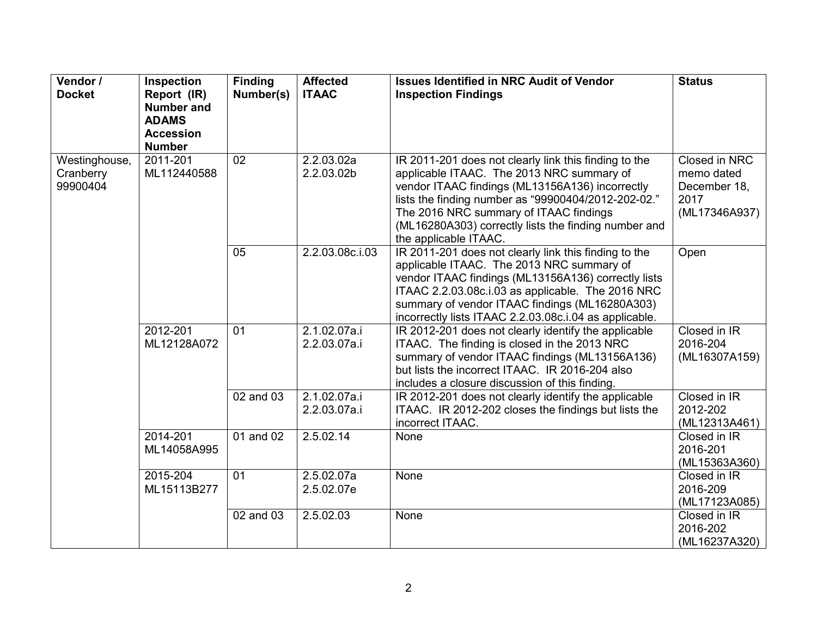| Vendor /      | Inspection        | <b>Finding</b> | <b>Affected</b> | <b>Issues Identified in NRC Audit of Vendor</b>                                                      | <b>Status</b> |
|---------------|-------------------|----------------|-----------------|------------------------------------------------------------------------------------------------------|---------------|
| <b>Docket</b> | Report (IR)       | Number(s)      | <b>ITAAC</b>    | <b>Inspection Findings</b>                                                                           |               |
|               | <b>Number and</b> |                |                 |                                                                                                      |               |
|               | <b>ADAMS</b>      |                |                 |                                                                                                      |               |
|               | <b>Accession</b>  |                |                 |                                                                                                      |               |
|               | <b>Number</b>     |                |                 |                                                                                                      |               |
| Westinghouse, | 2011-201          | 02             | 2.2.03.02a      | IR 2011-201 does not clearly link this finding to the                                                | Closed in NRC |
| Cranberry     | ML112440588       |                | 2.2.03.02b      | applicable ITAAC. The 2013 NRC summary of                                                            | memo dated    |
| 99900404      |                   |                |                 | vendor ITAAC findings (ML13156A136) incorrectly                                                      | December 18,  |
|               |                   |                |                 | lists the finding number as "99900404/2012-202-02."                                                  | 2017          |
|               |                   |                |                 | The 2016 NRC summary of ITAAC findings                                                               | (ML17346A937) |
|               |                   |                |                 | (ML16280A303) correctly lists the finding number and                                                 |               |
|               |                   |                |                 | the applicable ITAAC.                                                                                |               |
|               |                   | 05             | 2.2.03.08c.i.03 | IR 2011-201 does not clearly link this finding to the                                                | Open          |
|               |                   |                |                 | applicable ITAAC. The 2013 NRC summary of                                                            |               |
|               |                   |                |                 | vendor ITAAC findings (ML13156A136) correctly lists                                                  |               |
|               |                   |                |                 | ITAAC 2.2.03.08c.i.03 as applicable. The 2016 NRC                                                    |               |
|               |                   |                |                 | summary of vendor ITAAC findings (ML16280A303)                                                       |               |
|               | 2012-201          | 01             | 2.1.02.07a.i    | incorrectly lists ITAAC 2.2.03.08c.i.04 as applicable.                                               | Closed in IR  |
|               | ML12128A072       |                | 2.2.03.07a.i    | IR 2012-201 does not clearly identify the applicable<br>ITAAC. The finding is closed in the 2013 NRC | 2016-204      |
|               |                   |                |                 | summary of vendor ITAAC findings (ML13156A136)                                                       | (ML16307A159) |
|               |                   |                |                 | but lists the incorrect ITAAC. IR 2016-204 also                                                      |               |
|               |                   |                |                 | includes a closure discussion of this finding.                                                       |               |
|               |                   | 02 and 03      | 2.1.02.07a.i    | IR 2012-201 does not clearly identify the applicable                                                 | Closed in IR  |
|               |                   |                | 2.2.03.07a.i    | ITAAC. IR 2012-202 closes the findings but lists the                                                 | 2012-202      |
|               |                   |                |                 | incorrect ITAAC.                                                                                     | (ML12313A461) |
|               | 2014-201          | 01 and 02      | 2.5.02.14       | None                                                                                                 | Closed in IR  |
|               | ML14058A995       |                |                 |                                                                                                      | 2016-201      |
|               |                   |                |                 |                                                                                                      | (ML15363A360) |
|               | 2015-204          | 01             | 2.5.02.07a      | None                                                                                                 | Closed in IR  |
|               | ML15113B277       |                | 2.5.02.07e      |                                                                                                      | 2016-209      |
|               |                   |                |                 |                                                                                                      | (ML17123A085) |
|               |                   | 02 and 03      | 2.5.02.03       | None                                                                                                 | Closed in IR  |
|               |                   |                |                 |                                                                                                      | 2016-202      |
|               |                   |                |                 |                                                                                                      | (ML16237A320) |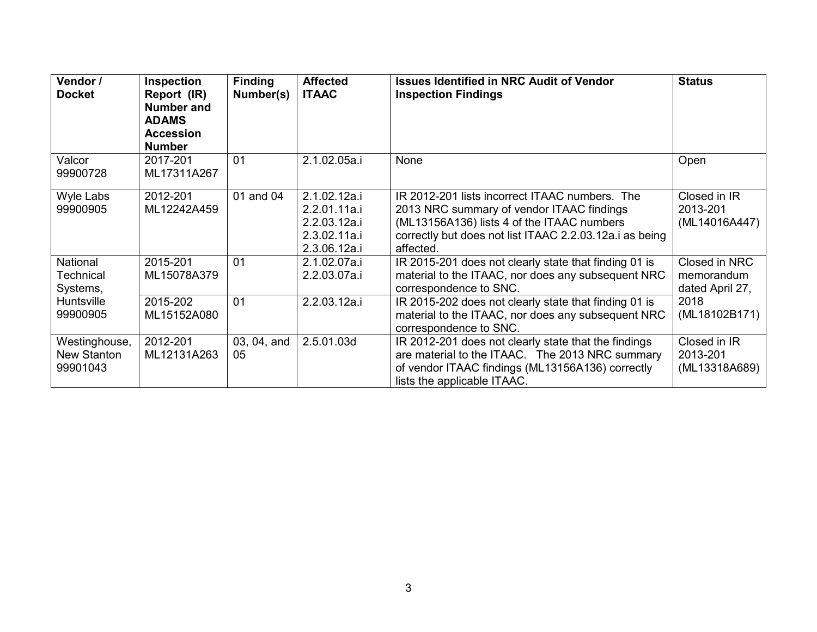| Vendor /<br><b>Docket</b>                | Inspection<br>Report (IR)<br>Number and<br><b>ADAMS</b><br><b>Accession</b><br><b>Number</b> | <b>Finding</b><br>Number(s) | <b>Affected</b><br><b>ITAAC</b>                                              | <b>Issues Identified in NRC Audit of Vendor</b><br><b>Inspection Findings</b>                                                                                                                                     | <b>Status</b>                                  |
|------------------------------------------|----------------------------------------------------------------------------------------------|-----------------------------|------------------------------------------------------------------------------|-------------------------------------------------------------------------------------------------------------------------------------------------------------------------------------------------------------------|------------------------------------------------|
| Valcor<br>99900728                       | 2017-201<br>ML17311A267                                                                      | 01                          | 2.1.02.05a.i                                                                 | None                                                                                                                                                                                                              | Open                                           |
| Wyle Labs<br>99900905                    | 2012-201<br>ML12242A459                                                                      | 01 and 04                   | 2.1.02.12a.i<br>2.2.01.11a.i<br>2.2.03.12a.i<br>2.3.02.11a.i<br>2.3.06.12a.i | IR 2012-201 lists incorrect ITAAC numbers. The<br>2013 NRC summary of vendor ITAAC findings<br>(ML13156A136) lists 4 of the ITAAC numbers<br>correctly but does not list ITAAC 2.2.03.12a.i as being<br>affected. | Closed in IR<br>2013-201<br>(ML14016A447)      |
| National<br>Technical<br>Systems,        | 2015-201<br>ML15078A379                                                                      | 0 <sub>1</sub>              | 2.1.02.07a.i<br>2.2.03.07a.i                                                 | IR 2015-201 does not clearly state that finding 01 is<br>material to the ITAAC, nor does any subsequent NRC<br>correspondence to SNC.                                                                             | Closed in NRC<br>memorandum<br>dated April 27, |
| Huntsville<br>99900905                   | 2015-202<br>ML15152A080                                                                      | 01                          | 2.2.03.12a.i                                                                 | IR 2015-202 does not clearly state that finding 01 is<br>material to the ITAAC, nor does any subsequent NRC<br>correspondence to SNC.                                                                             | 2018<br>(ML18102B171)                          |
| Westinghouse,<br>New Stanton<br>99901043 | 2012-201<br>ML12131A263                                                                      | 03, 04, and<br>05           | 2.5.01.03d                                                                   | IR 2012-201 does not clearly state that the findings<br>are material to the ITAAC. The 2013 NRC summary<br>of vendor ITAAC findings (ML13156A136) correctly<br>lists the applicable ITAAC.                        | Closed in IR<br>2013-201<br>(ML13318A689)      |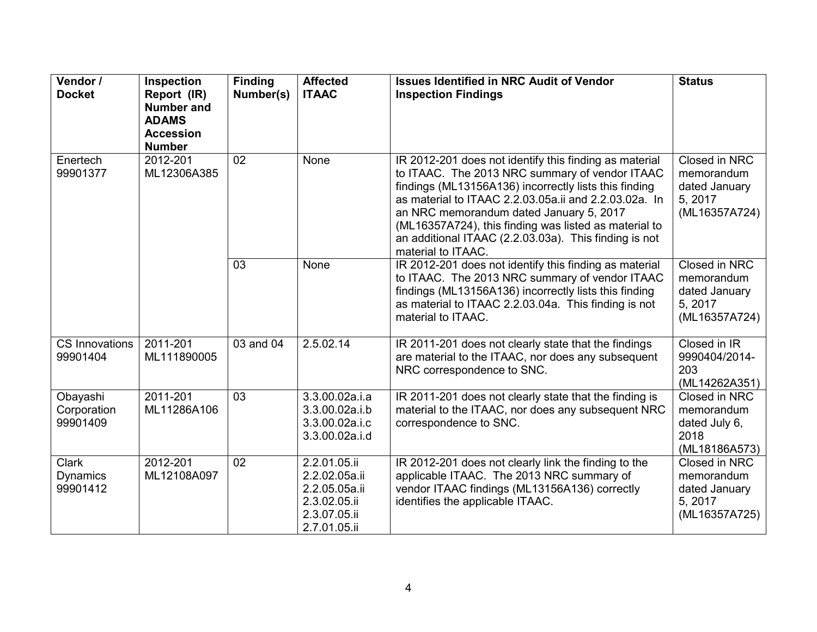| Vendor /<br><b>Docket</b>                   | Inspection<br>Report (IR)<br><b>Number and</b><br><b>ADAMS</b><br><b>Accession</b><br><b>Number</b> | <b>Finding</b><br>Number(s) | <b>Affected</b><br><b>ITAAC</b>                                                                | <b>Issues Identified in NRC Audit of Vendor</b><br><b>Inspection Findings</b>                                                                                                                                                                                                                                                                                                                                 | <b>Status</b>                                                                   |
|---------------------------------------------|-----------------------------------------------------------------------------------------------------|-----------------------------|------------------------------------------------------------------------------------------------|---------------------------------------------------------------------------------------------------------------------------------------------------------------------------------------------------------------------------------------------------------------------------------------------------------------------------------------------------------------------------------------------------------------|---------------------------------------------------------------------------------|
| Enertech<br>99901377                        | 2012-201<br>ML12306A385                                                                             | 02                          | None                                                                                           | IR 2012-201 does not identify this finding as material<br>to ITAAC. The 2013 NRC summary of vendor ITAAC<br>findings (ML13156A136) incorrectly lists this finding<br>as material to ITAAC 2.2.03.05a.ii and 2.2.03.02a. In<br>an NRC memorandum dated January 5, 2017<br>(ML16357A724), this finding was listed as material to<br>an additional ITAAC (2.2.03.03a). This finding is not<br>material to ITAAC. | Closed in NRC<br>memorandum<br>dated January<br>5, 2017<br>(ML16357A724)        |
|                                             |                                                                                                     | $\overline{03}$             | None                                                                                           | IR 2012-201 does not identify this finding as material<br>to ITAAC. The 2013 NRC summary of vendor ITAAC<br>findings (ML13156A136) incorrectly lists this finding<br>as material to ITAAC 2.2.03.04a. This finding is not<br>material to ITAAC.                                                                                                                                                               | <b>Closed in NRC</b><br>memorandum<br>dated January<br>5, 2017<br>(ML16357A724) |
| <b>CS Innovations</b><br>99901404           | 2011-201<br>ML111890005                                                                             | 03 and 04                   | 2.5.02.14                                                                                      | IR 2011-201 does not clearly state that the findings<br>are material to the ITAAC, nor does any subsequent<br>NRC correspondence to SNC.                                                                                                                                                                                                                                                                      | Closed in IR<br>9990404/2014-<br>203<br>(ML14262A351)                           |
| Obayashi<br>Corporation<br>99901409         | 2011-201<br>ML11286A106                                                                             | 03                          | 3.3.00.02a.i.a<br>3.3.00.02a.i.b<br>3.3.00.02a.i.c<br>3.3.00.02a.i.d                           | IR 2011-201 does not clearly state that the finding is<br>material to the ITAAC, nor does any subsequent NRC<br>correspondence to SNC.                                                                                                                                                                                                                                                                        | Closed in NRC<br>memorandum<br>dated July 6,<br>2018<br>(ML18186A573)           |
| <b>Clark</b><br><b>Dynamics</b><br>99901412 | 2012-201<br>ML12108A097                                                                             | $\overline{02}$             | 2.2.01.05.ii<br>2.2.02.05a.ii<br>2.2.05.05a.ii<br>2.3.02.05.ii<br>2.3.07.05.ii<br>2.7.01.05.ii | IR 2012-201 does not clearly link the finding to the<br>applicable ITAAC. The 2013 NRC summary of<br>vendor ITAAC findings (ML13156A136) correctly<br>identifies the applicable ITAAC.                                                                                                                                                                                                                        | Closed in NRC<br>memorandum<br>dated January<br>5, 2017<br>(ML16357A725)        |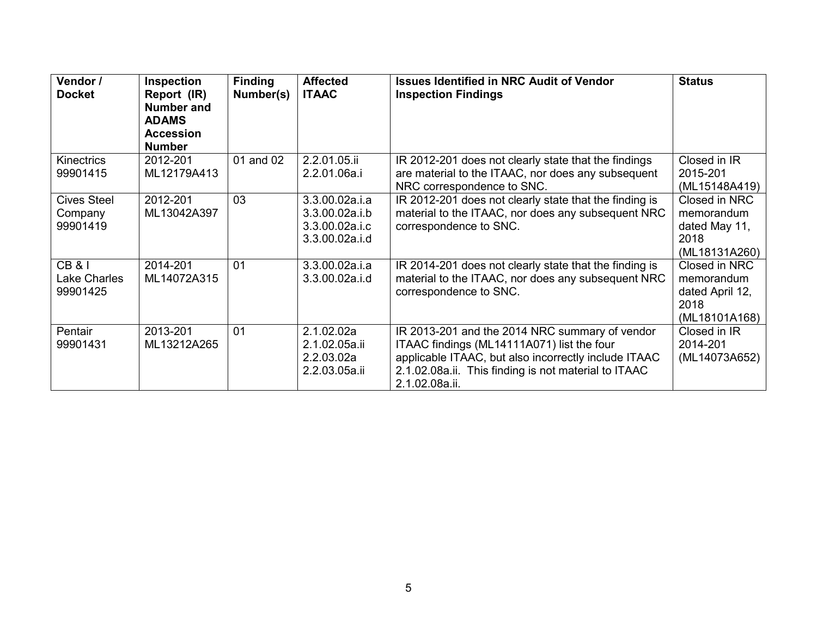| Vendor /<br><b>Docket</b>                     | Inspection<br>Report (IR)<br><b>Number and</b><br><b>ADAMS</b><br><b>Accession</b><br><b>Number</b> | <b>Finding</b><br>Number(s) | <b>Affected</b><br><b>ITAAC</b>                                      | <b>Issues Identified in NRC Audit of Vendor</b><br><b>Inspection Findings</b>                                                                                                                                                  | <b>Status</b>                                                           |
|-----------------------------------------------|-----------------------------------------------------------------------------------------------------|-----------------------------|----------------------------------------------------------------------|--------------------------------------------------------------------------------------------------------------------------------------------------------------------------------------------------------------------------------|-------------------------------------------------------------------------|
| <b>Kinectrics</b><br>99901415                 | 2012-201<br>ML12179A413                                                                             | 01 and 02                   | 2.2.01.05.ii<br>2.2.01.06a.i                                         | IR 2012-201 does not clearly state that the findings<br>are material to the ITAAC, nor does any subsequent<br>NRC correspondence to SNC.                                                                                       | Closed in IR<br>2015-201<br>(ML15148A419)                               |
| <b>Cives Steel</b><br>Company<br>99901419     | 2012-201<br>ML13042A397                                                                             | 03                          | 3.3.00.02a.i.a<br>3.3.00.02a.i.b<br>3.3.00.02a.i.c<br>3.3.00.02a.i.d | IR 2012-201 does not clearly state that the finding is<br>material to the ITAAC, nor does any subsequent NRC<br>correspondence to SNC.                                                                                         | Closed in NRC<br>memorandum<br>dated May 11,<br>2018<br>(ML18131A260)   |
| <b>CB &amp; I</b><br>Lake Charles<br>99901425 | 2014-201<br>ML14072A315                                                                             | 01                          | 3.3.00.02a.i.a<br>3.3.00.02a.i.d                                     | IR 2014-201 does not clearly state that the finding is<br>material to the ITAAC, nor does any subsequent NRC<br>correspondence to SNC.                                                                                         | Closed in NRC<br>memorandum<br>dated April 12,<br>2018<br>(ML18101A168) |
| Pentair<br>99901431                           | 2013-201<br>ML13212A265                                                                             | 01                          | 2.1.02.02a<br>2.1.02.05a.ii<br>2.2.03.02a<br>2.2.03.05a.ii           | IR 2013-201 and the 2014 NRC summary of vendor<br>ITAAC findings (ML14111A071) list the four<br>applicable ITAAC, but also incorrectly include ITAAC<br>2.1.02.08a.ii. This finding is not material to ITAAC<br>2.1.02.08a.ii. | Closed in IR<br>2014-201<br>(ML14073A652)                               |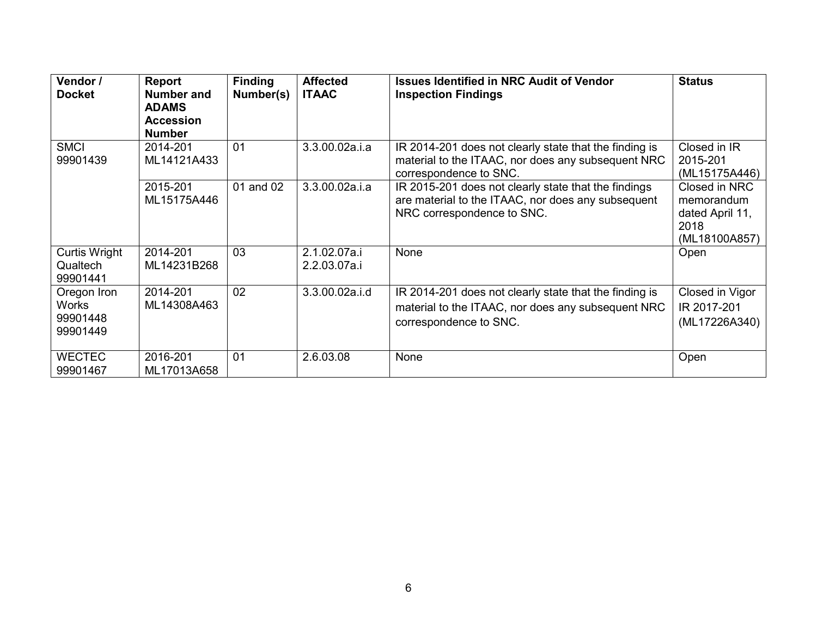| Vendor /<br><b>Docket</b>                           | Report<br><b>Number and</b><br><b>ADAMS</b><br><b>Accession</b><br><b>Number</b> | <b>Finding</b><br>Number(s) | <b>Affected</b><br><b>ITAAC</b> | <b>Issues Identified in NRC Audit of Vendor</b><br><b>Inspection Findings</b>                                                            | <b>Status</b>                                                           |
|-----------------------------------------------------|----------------------------------------------------------------------------------|-----------------------------|---------------------------------|------------------------------------------------------------------------------------------------------------------------------------------|-------------------------------------------------------------------------|
| <b>SMCI</b><br>99901439                             | 2014-201<br>ML14121A433                                                          | 01                          | 3.3.00.02a.i.a                  | IR 2014-201 does not clearly state that the finding is<br>material to the ITAAC, nor does any subsequent NRC<br>correspondence to SNC.   | Closed in $IR$<br>2015-201<br>(ML15175A446)                             |
|                                                     | 2015-201<br>ML15175A446                                                          | 01 and 02                   | 3.3.00.02a.i.a                  | IR 2015-201 does not clearly state that the findings<br>are material to the ITAAC, nor does any subsequent<br>NRC correspondence to SNC. | Closed in NRC<br>memorandum<br>dated April 11,<br>2018<br>(ML18100A857) |
| <b>Curtis Wright</b><br>Qualtech<br>99901441        | 2014-201<br>ML14231B268                                                          | 03                          | 2.1.02.07a.i<br>2.2.03.07a.i    | None                                                                                                                                     | Open                                                                    |
| Oregon Iron<br><b>Works</b><br>99901448<br>99901449 | 2014-201<br>ML14308A463                                                          | 02                          | 3.3.00.02a.i.d                  | IR 2014-201 does not clearly state that the finding is<br>material to the ITAAC, nor does any subsequent NRC<br>correspondence to SNC.   | Closed in Vigor<br>IR 2017-201<br>(ML17226A340)                         |
| <b>WECTEC</b><br>99901467                           | 2016-201<br>ML17013A658                                                          | 0 <sub>1</sub>              | 2.6.03.08                       | None                                                                                                                                     | Open                                                                    |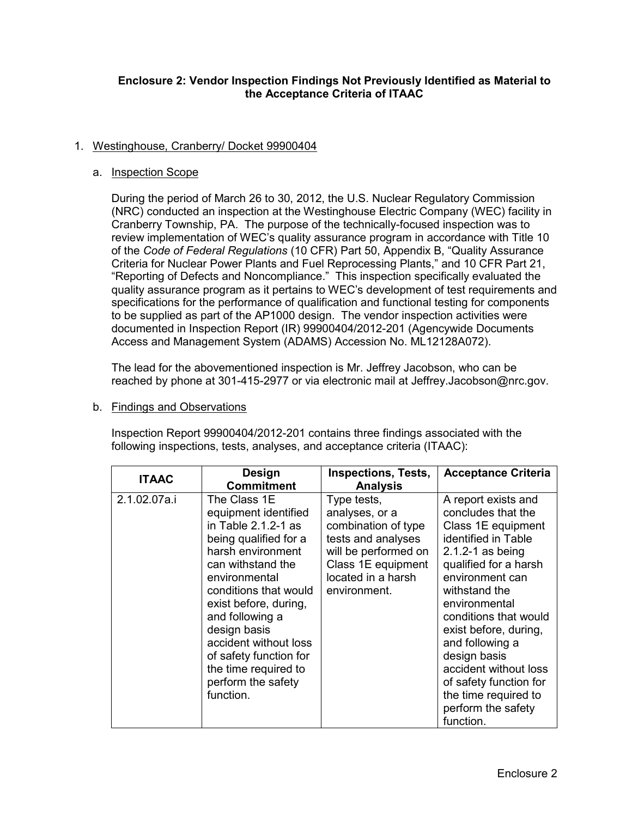# **Enclosure 2: Vendor Inspection Findings Not Previously Identified as Material to the Acceptance Criteria of ITAAC**

# 1. Westinghouse, Cranberry/ Docket 99900404

# a. Inspection Scope

During the period of March 26 to 30, 2012, the U.S. Nuclear Regulatory Commission (NRC) conducted an inspection at the Westinghouse Electric Company (WEC) facility in Cranberry Township, PA. The purpose of the technically-focused inspection was to review implementation of WEC's quality assurance program in accordance with Title 10 of the *Code of Federal Regulations* (10 CFR) Part 50, Appendix B, "Quality Assurance Criteria for Nuclear Power Plants and Fuel Reprocessing Plants," and 10 CFR Part 21, "Reporting of Defects and Noncompliance." This inspection specifically evaluated the quality assurance program as it pertains to WEC's development of test requirements and specifications for the performance of qualification and functional testing for components to be supplied as part of the AP1000 design. The vendor inspection activities were documented in Inspection Report (IR) 99900404/2012-201 (Agencywide Documents Access and Management System (ADAMS) Accession No. ML12128A072).

The lead for the abovementioned inspection is Mr. Jeffrey Jacobson, who can be reached by phone at 301-415-2977 or via electronic mail at Jeffrey.Jacobson@nrc.gov.

# b. Findings and Observations

Inspection Report 99900404/2012-201 contains three findings associated with the following inspections, tests, analyses, and acceptance criteria (ITAAC):

| <b>ITAAC</b> | <b>Design</b><br><b>Commitment</b>                                                                                                                                                                                                                                                                                                                     | <b>Inspections, Tests,</b><br><b>Analysis</b>                                                                                                                  | <b>Acceptance Criteria</b>                                                                                                                                                                                                                                                                                                                                                                      |
|--------------|--------------------------------------------------------------------------------------------------------------------------------------------------------------------------------------------------------------------------------------------------------------------------------------------------------------------------------------------------------|----------------------------------------------------------------------------------------------------------------------------------------------------------------|-------------------------------------------------------------------------------------------------------------------------------------------------------------------------------------------------------------------------------------------------------------------------------------------------------------------------------------------------------------------------------------------------|
| 2.1.02.07a.i | The Class 1E<br>equipment identified<br>in Table $2.1.2 - 1$ as<br>being qualified for a<br>harsh environment<br>can withstand the<br>environmental<br>conditions that would<br>exist before, during,<br>and following a<br>design basis<br>accident without loss<br>of safety function for<br>the time required to<br>perform the safety<br>function. | Type tests,<br>analyses, or a<br>combination of type<br>tests and analyses<br>will be performed on<br>Class 1E equipment<br>located in a harsh<br>environment. | A report exists and<br>concludes that the<br>Class 1E equipment<br>identified in Table<br>$2.1.2 - 1$ as being<br>qualified for a harsh<br>environment can<br>withstand the<br>environmental<br>conditions that would<br>exist before, during,<br>and following a<br>design basis<br>accident without loss<br>of safety function for<br>the time required to<br>perform the safety<br>function. |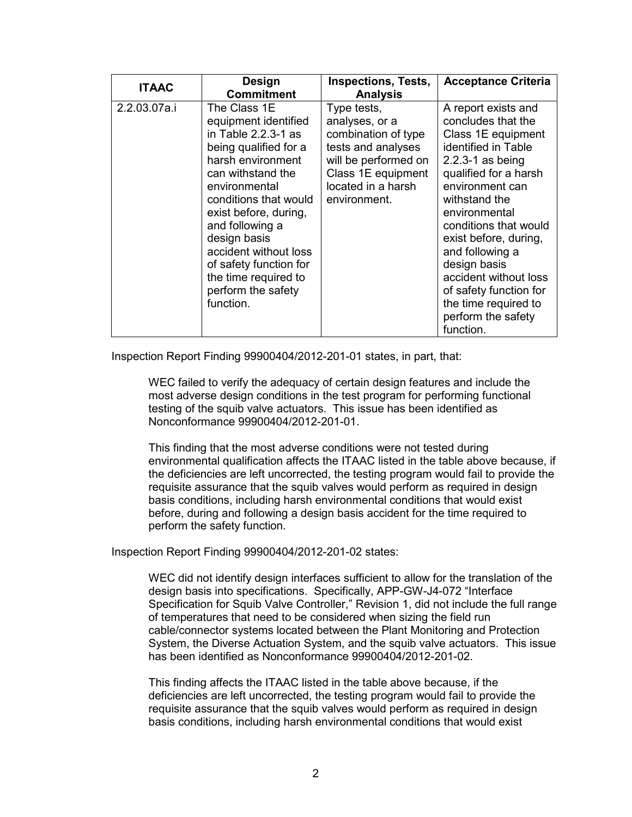| <b>ITAAC</b> | Design<br><b>Commitment</b>                                                                                                                                                                                                                                                                                                                          | <b>Inspections, Tests,</b><br><b>Analysis</b>                                                                                                                  | <b>Acceptance Criteria</b>                                                                                                                                                                                                                                                                                                                                                                      |
|--------------|------------------------------------------------------------------------------------------------------------------------------------------------------------------------------------------------------------------------------------------------------------------------------------------------------------------------------------------------------|----------------------------------------------------------------------------------------------------------------------------------------------------------------|-------------------------------------------------------------------------------------------------------------------------------------------------------------------------------------------------------------------------------------------------------------------------------------------------------------------------------------------------------------------------------------------------|
| 2.2.03.07a.i | The Class 1E<br>equipment identified<br>in Table $2.2.3-1$ as<br>being qualified for a<br>harsh environment<br>can withstand the<br>environmental<br>conditions that would<br>exist before, during,<br>and following a<br>design basis<br>accident without loss<br>of safety function for<br>the time required to<br>perform the safety<br>function. | Type tests,<br>analyses, or a<br>combination of type<br>tests and analyses<br>will be performed on<br>Class 1E equipment<br>located in a harsh<br>environment. | A report exists and<br>concludes that the<br>Class 1E equipment<br>identified in Table<br>$2.2.3 - 1$ as being<br>qualified for a harsh<br>environment can<br>withstand the<br>environmental<br>conditions that would<br>exist before, during,<br>and following a<br>design basis<br>accident without loss<br>of safety function for<br>the time required to<br>perform the safety<br>function. |

Inspection Report Finding 99900404/2012-201-01 states, in part, that:

WEC failed to verify the adequacy of certain design features and include the most adverse design conditions in the test program for performing functional testing of the squib valve actuators. This issue has been identified as Nonconformance 99900404/2012-201-01.

This finding that the most adverse conditions were not tested during environmental qualification affects the ITAAC listed in the table above because, if the deficiencies are left uncorrected, the testing program would fail to provide the requisite assurance that the squib valves would perform as required in design basis conditions, including harsh environmental conditions that would exist before, during and following a design basis accident for the time required to perform the safety function.

Inspection Report Finding 99900404/2012-201-02 states:

WEC did not identify design interfaces sufficient to allow for the translation of the design basis into specifications. Specifically, APP-GW-J4-072 "Interface Specification for Squib Valve Controller," Revision 1, did not include the full range of temperatures that need to be considered when sizing the field run cable/connector systems located between the Plant Monitoring and Protection System, the Diverse Actuation System, and the squib valve actuators. This issue has been identified as Nonconformance 99900404/2012-201-02.

This finding affects the ITAAC listed in the table above because, if the deficiencies are left uncorrected, the testing program would fail to provide the requisite assurance that the squib valves would perform as required in design basis conditions, including harsh environmental conditions that would exist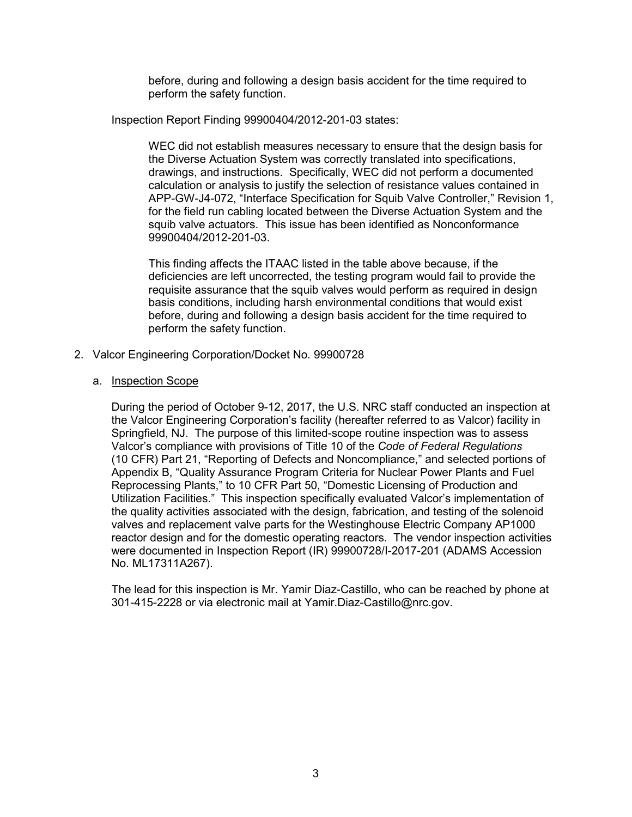before, during and following a design basis accident for the time required to perform the safety function.

Inspection Report Finding 99900404/2012-201-03 states:

WEC did not establish measures necessary to ensure that the design basis for the Diverse Actuation System was correctly translated into specifications, drawings, and instructions. Specifically, WEC did not perform a documented calculation or analysis to justify the selection of resistance values contained in APP-GW-J4-072, "Interface Specification for Squib Valve Controller," Revision 1, for the field run cabling located between the Diverse Actuation System and the squib valve actuators. This issue has been identified as Nonconformance 99900404/2012-201-03.

This finding affects the ITAAC listed in the table above because, if the deficiencies are left uncorrected, the testing program would fail to provide the requisite assurance that the squib valves would perform as required in design basis conditions, including harsh environmental conditions that would exist before, during and following a design basis accident for the time required to perform the safety function.

- 2. Valcor Engineering Corporation/Docket No. 99900728
	- a. Inspection Scope

During the period of October 9-12, 2017, the U.S. NRC staff conducted an inspection at the Valcor Engineering Corporation's facility (hereafter referred to as Valcor) facility in Springfield, NJ. The purpose of this limited-scope routine inspection was to assess Valcor's compliance with provisions of Title 10 of the *Code of Federal Regulations*  (10 CFR) Part 21, "Reporting of Defects and Noncompliance," and selected portions of Appendix B, "Quality Assurance Program Criteria for Nuclear Power Plants and Fuel Reprocessing Plants," to 10 CFR Part 50, "Domestic Licensing of Production and Utilization Facilities." This inspection specifically evaluated Valcor's implementation of the quality activities associated with the design, fabrication, and testing of the solenoid valves and replacement valve parts for the Westinghouse Electric Company AP1000 reactor design and for the domestic operating reactors. The vendor inspection activities were documented in Inspection Report (IR) 99900728/I-2017-201 (ADAMS Accession No. ML17311A267).

The lead for this inspection is Mr. Yamir Diaz-Castillo, who can be reached by phone at 301-415-2228 or via electronic mail at Yamir.Diaz-Castillo@nrc.gov.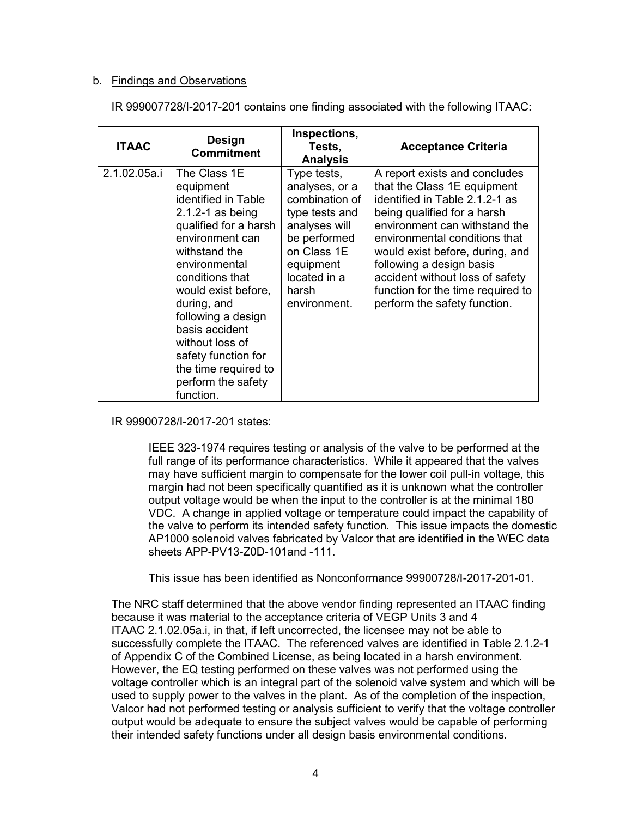# b. Findings and Observations

IR 999007728/I-2017-201 contains one finding associated with the following ITAAC:

| <b>ITAAC</b> | <b>Design</b><br><b>Commitment</b>                                                                                                                                                                                                                                                                                                                           | Inspections,<br>Tests,<br><b>Analysis</b>                                                                                                                               | <b>Acceptance Criteria</b>                                                                                                                                                                                                                                                                                                                                             |
|--------------|--------------------------------------------------------------------------------------------------------------------------------------------------------------------------------------------------------------------------------------------------------------------------------------------------------------------------------------------------------------|-------------------------------------------------------------------------------------------------------------------------------------------------------------------------|------------------------------------------------------------------------------------------------------------------------------------------------------------------------------------------------------------------------------------------------------------------------------------------------------------------------------------------------------------------------|
| 2.1.02.05a.i | The Class 1E<br>equipment<br>identified in Table<br>$2.1.2 - 1$ as being<br>qualified for a harsh<br>environment can<br>withstand the<br>environmental<br>conditions that<br>would exist before,<br>during, and<br>following a design<br>basis accident<br>without loss of<br>safety function for<br>the time required to<br>perform the safety<br>function. | Type tests,<br>analyses, or a<br>combination of<br>type tests and<br>analyses will<br>be performed<br>on Class 1E<br>equipment<br>located in a<br>harsh<br>environment. | A report exists and concludes<br>that the Class 1E equipment<br>identified in Table 2.1.2-1 as<br>being qualified for a harsh<br>environment can withstand the<br>environmental conditions that<br>would exist before, during, and<br>following a design basis<br>accident without loss of safety<br>function for the time required to<br>perform the safety function. |

IR 99900728/I-2017-201 states:

IEEE 323-1974 requires testing or analysis of the valve to be performed at the full range of its performance characteristics. While it appeared that the valves may have sufficient margin to compensate for the lower coil pull-in voltage, this margin had not been specifically quantified as it is unknown what the controller output voltage would be when the input to the controller is at the minimal 180 VDC. A change in applied voltage or temperature could impact the capability of the valve to perform its intended safety function. This issue impacts the domestic AP1000 solenoid valves fabricated by Valcor that are identified in the WEC data sheets APP-PV13-Z0D-101and -111.

This issue has been identified as Nonconformance 99900728/I-2017-201-01.

The NRC staff determined that the above vendor finding represented an ITAAC finding because it was material to the acceptance criteria of VEGP Units 3 and 4 ITAAC 2.1.02.05a.i, in that, if left uncorrected, the licensee may not be able to successfully complete the ITAAC. The referenced valves are identified in Table 2.1.2-1 of Appendix C of the Combined License, as being located in a harsh environment. However, the EQ testing performed on these valves was not performed using the voltage controller which is an integral part of the solenoid valve system and which will be used to supply power to the valves in the plant. As of the completion of the inspection, Valcor had not performed testing or analysis sufficient to verify that the voltage controller output would be adequate to ensure the subject valves would be capable of performing their intended safety functions under all design basis environmental conditions.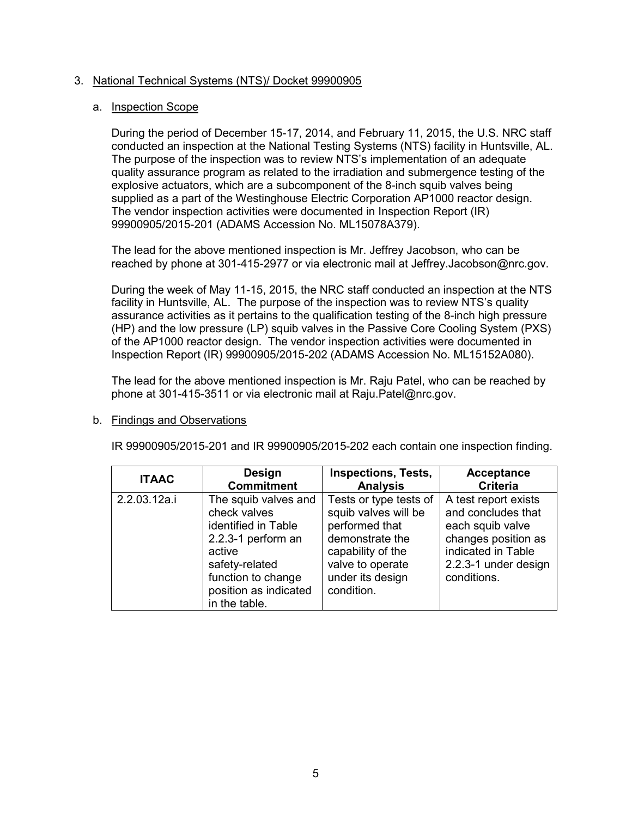# 3. National Technical Systems (NTS)/ Docket 99900905

# a. Inspection Scope

During the period of December 15-17, 2014, and February 11, 2015, the U.S. NRC staff conducted an inspection at the National Testing Systems (NTS) facility in Huntsville, AL. The purpose of the inspection was to review NTS's implementation of an adequate quality assurance program as related to the irradiation and submergence testing of the explosive actuators, which are a subcomponent of the 8-inch squib valves being supplied as a part of the Westinghouse Electric Corporation AP1000 reactor design. The vendor inspection activities were documented in Inspection Report (IR) 99900905/2015-201 (ADAMS Accession No. ML15078A379).

The lead for the above mentioned inspection is Mr. Jeffrey Jacobson, who can be reached by phone at 301-415-2977 or via electronic mail at Jeffrey.Jacobson@nrc.gov.

During the week of May 11-15, 2015, the NRC staff conducted an inspection at the NTS facility in Huntsville, AL. The purpose of the inspection was to review NTS's quality assurance activities as it pertains to the qualification testing of the 8-inch high pressure (HP) and the low pressure (LP) squib valves in the Passive Core Cooling System (PXS) of the AP1000 reactor design. The vendor inspection activities were documented in Inspection Report (IR) 99900905/2015-202 (ADAMS Accession No. ML15152A080).

The lead for the above mentioned inspection is Mr. Raju Patel, who can be reached by phone at 301-415-3511 or via electronic mail at Raju.Patel@nrc.gov.

## b. Findings and Observations

IR 99900905/2015-201 and IR 99900905/2015-202 each contain one inspection finding.

| <b>ITAAC</b> | <b>Design</b>                                                                                                                                                                 | <b>Inspections, Tests,</b>                                                                                                                                     | <b>Acceptance</b>                                                                                                                                  |
|--------------|-------------------------------------------------------------------------------------------------------------------------------------------------------------------------------|----------------------------------------------------------------------------------------------------------------------------------------------------------------|----------------------------------------------------------------------------------------------------------------------------------------------------|
|              | <b>Commitment</b>                                                                                                                                                             | <b>Analysis</b>                                                                                                                                                | <b>Criteria</b>                                                                                                                                    |
| 2.2.03.12a.i | The squib valves and<br>check valves<br>identified in Table<br>2.2.3-1 perform an<br>active<br>safety-related<br>function to change<br>position as indicated<br>in the table. | Tests or type tests of<br>squib valves will be<br>performed that<br>demonstrate the<br>capability of the<br>valve to operate<br>under its design<br>condition. | A test report exists<br>and concludes that<br>each squib valve<br>changes position as<br>indicated in Table<br>2.2.3-1 under design<br>conditions. |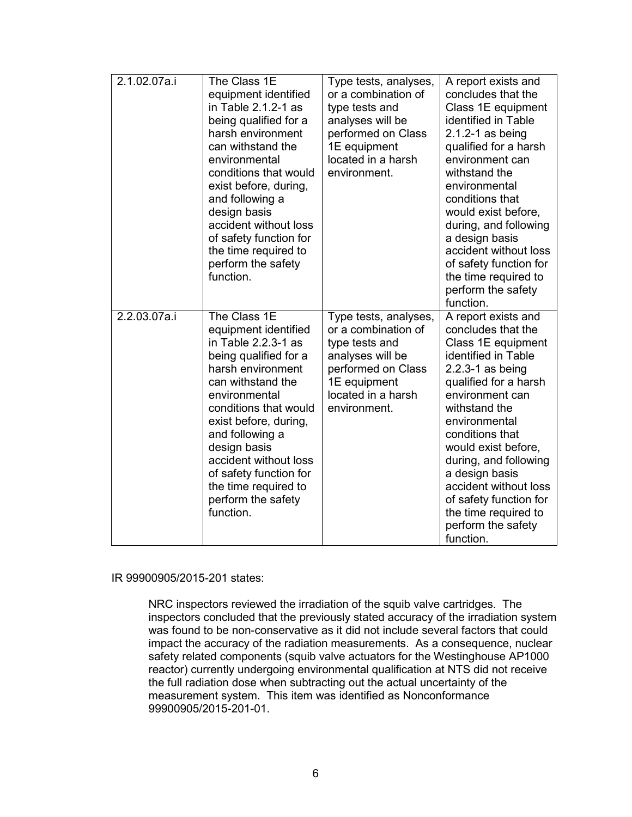| 2.1.02.07a.i | The Class 1E<br>equipment identified<br>in Table 2.1.2-1 as<br>being qualified for a<br>harsh environment<br>can withstand the<br>environmental<br>conditions that would<br>exist before, during,<br>and following a<br>design basis<br>accident without loss<br>of safety function for<br>the time required to<br>perform the safety<br>function. | Type tests, analyses,<br>or a combination of<br>type tests and<br>analyses will be<br>performed on Class<br>1E equipment<br>located in a harsh<br>environment. | A report exists and<br>concludes that the<br>Class 1E equipment<br>identified in Table<br>$2.1.2 - 1$ as being<br>qualified for a harsh<br>environment can<br>withstand the<br>environmental<br>conditions that<br>would exist before,<br>during, and following<br>a design basis<br>accident without loss<br>of safety function for<br>the time required to<br>perform the safety<br>function. |
|--------------|----------------------------------------------------------------------------------------------------------------------------------------------------------------------------------------------------------------------------------------------------------------------------------------------------------------------------------------------------|----------------------------------------------------------------------------------------------------------------------------------------------------------------|-------------------------------------------------------------------------------------------------------------------------------------------------------------------------------------------------------------------------------------------------------------------------------------------------------------------------------------------------------------------------------------------------|
| 2.2.03.07a.i | The Class 1E<br>equipment identified<br>in Table 2.2.3-1 as<br>being qualified for a<br>harsh environment<br>can withstand the<br>environmental<br>conditions that would<br>exist before, during,<br>and following a<br>design basis<br>accident without loss<br>of safety function for<br>the time required to<br>perform the safety<br>function. | Type tests, analyses,<br>or a combination of<br>type tests and<br>analyses will be<br>performed on Class<br>1E equipment<br>located in a harsh<br>environment. | A report exists and<br>concludes that the<br>Class 1E equipment<br>identified in Table<br>$2.2.3 - 1$ as being<br>qualified for a harsh<br>environment can<br>withstand the<br>environmental<br>conditions that<br>would exist before,<br>during, and following<br>a design basis<br>accident without loss<br>of safety function for<br>the time required to<br>perform the safety<br>function. |

# IR 99900905/2015-201 states:

NRC inspectors reviewed the irradiation of the squib valve cartridges. The inspectors concluded that the previously stated accuracy of the irradiation system was found to be non-conservative as it did not include several factors that could impact the accuracy of the radiation measurements. As a consequence, nuclear safety related components (squib valve actuators for the Westinghouse AP1000 reactor) currently undergoing environmental qualification at NTS did not receive the full radiation dose when subtracting out the actual uncertainty of the measurement system. This item was identified as Nonconformance 99900905/2015-201-01.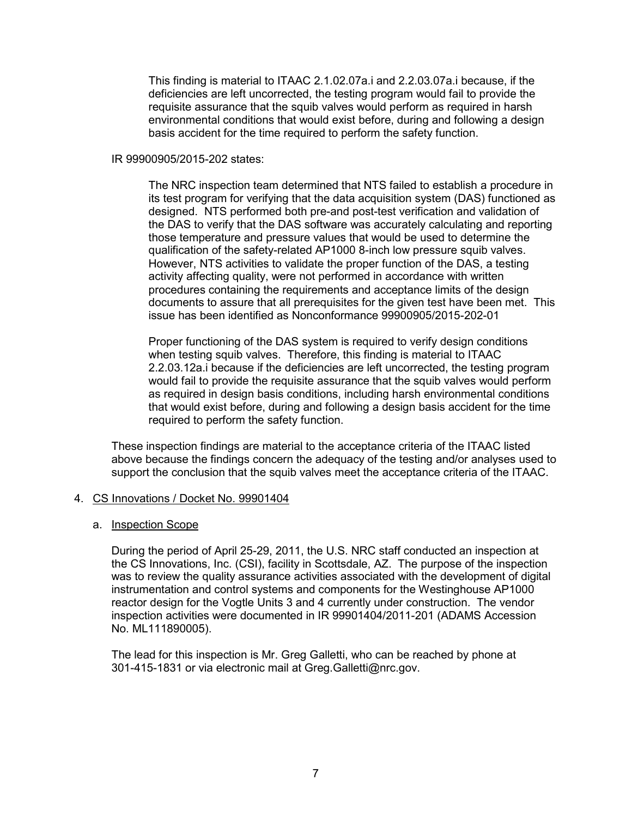This finding is material to ITAAC 2.1.02.07a.i and 2.2.03.07a.i because, if the deficiencies are left uncorrected, the testing program would fail to provide the requisite assurance that the squib valves would perform as required in harsh environmental conditions that would exist before, during and following a design basis accident for the time required to perform the safety function.

# IR 99900905/2015-202 states:

The NRC inspection team determined that NTS failed to establish a procedure in its test program for verifying that the data acquisition system (DAS) functioned as designed. NTS performed both pre-and post-test verification and validation of the DAS to verify that the DAS software was accurately calculating and reporting those temperature and pressure values that would be used to determine the qualification of the safety-related AP1000 8-inch low pressure squib valves. However, NTS activities to validate the proper function of the DAS, a testing activity affecting quality, were not performed in accordance with written procedures containing the requirements and acceptance limits of the design documents to assure that all prerequisites for the given test have been met. This issue has been identified as Nonconformance 99900905/2015-202-01

Proper functioning of the DAS system is required to verify design conditions when testing squib valves. Therefore, this finding is material to ITAAC 2.2.03.12a.i because if the deficiencies are left uncorrected, the testing program would fail to provide the requisite assurance that the squib valves would perform as required in design basis conditions, including harsh environmental conditions that would exist before, during and following a design basis accident for the time required to perform the safety function.

These inspection findings are material to the acceptance criteria of the ITAAC listed above because the findings concern the adequacy of the testing and/or analyses used to support the conclusion that the squib valves meet the acceptance criteria of the ITAAC.

# 4. CS Innovations / Docket No. 99901404

## a. Inspection Scope

During the period of April 25-29, 2011, the U.S. NRC staff conducted an inspection at the CS Innovations, Inc. (CSI), facility in Scottsdale, AZ. The purpose of the inspection was to review the quality assurance activities associated with the development of digital instrumentation and control systems and components for the Westinghouse AP1000 reactor design for the Vogtle Units 3 and 4 currently under construction. The vendor inspection activities were documented in IR 99901404/2011-201 (ADAMS Accession No. ML111890005).

The lead for this inspection is Mr. Greg Galletti, who can be reached by phone at 301-415-1831 or via electronic mail at Greg.Galletti@nrc.gov.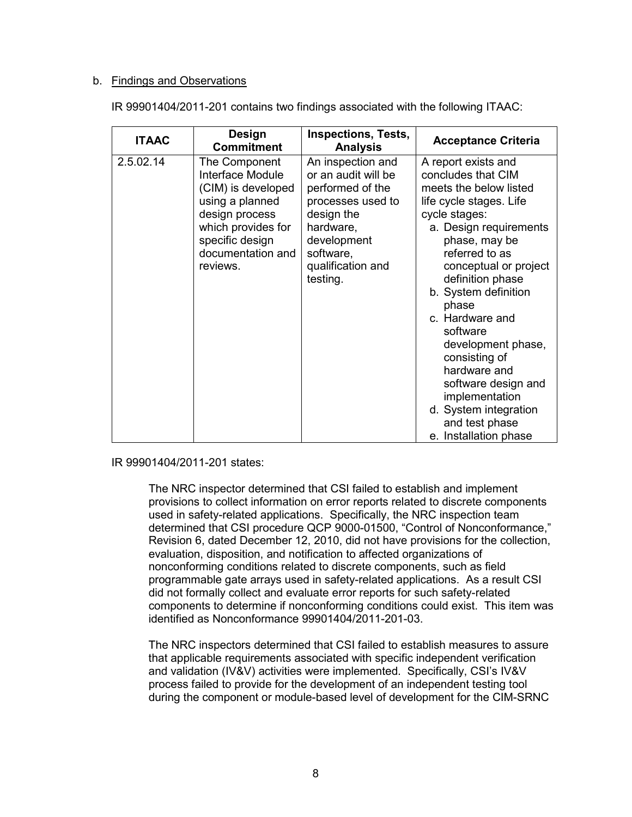# b. Findings and Observations

| IR 99901404/2011-201 contains two findings associated with the following ITAAC: |  |
|---------------------------------------------------------------------------------|--|
|                                                                                 |  |

| <b>ITAAC</b> | <b>Design</b><br><b>Commitment</b>                                                                                                                                     | <b>Inspections, Tests,</b><br><b>Analysis</b>                                                                                                                             | <b>Acceptance Criteria</b>                                                                                                                                                                                                                                                                                                                                                                                                                                    |
|--------------|------------------------------------------------------------------------------------------------------------------------------------------------------------------------|---------------------------------------------------------------------------------------------------------------------------------------------------------------------------|---------------------------------------------------------------------------------------------------------------------------------------------------------------------------------------------------------------------------------------------------------------------------------------------------------------------------------------------------------------------------------------------------------------------------------------------------------------|
| 2.5.02.14    | The Component<br>Interface Module<br>(CIM) is developed<br>using a planned<br>design process<br>which provides for<br>specific design<br>documentation and<br>reviews. | An inspection and<br>or an audit will be<br>performed of the<br>processes used to<br>design the<br>hardware,<br>development<br>software.<br>qualification and<br>testing. | A report exists and<br>concludes that CIM<br>meets the below listed<br>life cycle stages. Life<br>cycle stages:<br>a. Design requirements<br>phase, may be<br>referred to as<br>conceptual or project<br>definition phase<br>b. System definition<br>phase<br>c. Hardware and<br>software<br>development phase,<br>consisting of<br>hardware and<br>software design and<br>implementation<br>d. System integration<br>and test phase<br>e. Installation phase |

IR 99901404/2011-201 states:

The NRC inspector determined that CSI failed to establish and implement provisions to collect information on error reports related to discrete components used in safety-related applications. Specifically, the NRC inspection team determined that CSI procedure QCP 9000-01500, "Control of Nonconformance," Revision 6, dated December 12, 2010, did not have provisions for the collection, evaluation, disposition, and notification to affected organizations of nonconforming conditions related to discrete components, such as field programmable gate arrays used in safety-related applications. As a result CSI did not formally collect and evaluate error reports for such safety-related components to determine if nonconforming conditions could exist. This item was identified as Nonconformance 99901404/2011-201-03.

The NRC inspectors determined that CSI failed to establish measures to assure that applicable requirements associated with specific independent verification and validation (IV&V) activities were implemented. Specifically, CSI's IV&V process failed to provide for the development of an independent testing tool during the component or module-based level of development for the CIM-SRNC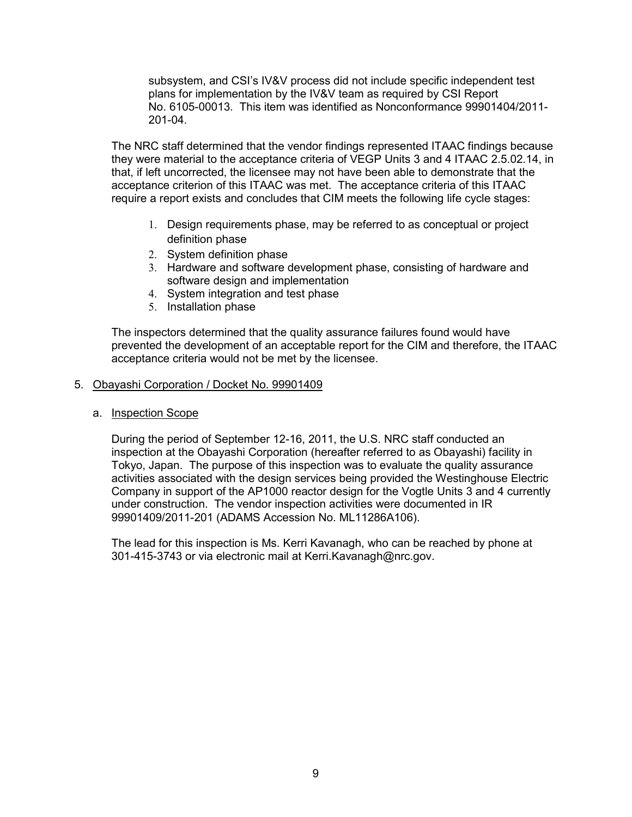subsystem, and CSI's IV&V process did not include specific independent test plans for implementation by the IV&V team as required by CSI Report No. 6105-00013. This item was identified as Nonconformance 99901404/2011- 201-04.

The NRC staff determined that the vendor findings represented ITAAC findings because they were material to the acceptance criteria of VEGP Units 3 and 4 ITAAC 2.5.02.14, in that, if left uncorrected, the licensee may not have been able to demonstrate that the acceptance criterion of this ITAAC was met. The acceptance criteria of this ITAAC require a report exists and concludes that CIM meets the following life cycle stages:

- 1. Design requirements phase, may be referred to as conceptual or project definition phase
- 2. System definition phase
- 3. Hardware and software development phase, consisting of hardware and software design and implementation
- 4. System integration and test phase
- 5. Installation phase

The inspectors determined that the quality assurance failures found would have prevented the development of an acceptable report for the CIM and therefore, the ITAAC acceptance criteria would not be met by the licensee.

## 5. Obayashi Corporation / Docket No. 99901409

a. Inspection Scope

During the period of September 12-16, 2011, the U.S. NRC staff conducted an inspection at the Obayashi Corporation (hereafter referred to as Obayashi) facility in Tokyo, Japan. The purpose of this inspection was to evaluate the quality assurance activities associated with the design services being provided the Westinghouse Electric Company in support of the AP1000 reactor design for the Vogtle Units 3 and 4 currently under construction. The vendor inspection activities were documented in IR 99901409/2011-201 (ADAMS Accession No. ML11286A106).

The lead for this inspection is Ms. Kerri Kavanagh, who can be reached by phone at 301-415-3743 or via electronic mail at Kerri.Kavanagh@nrc.gov.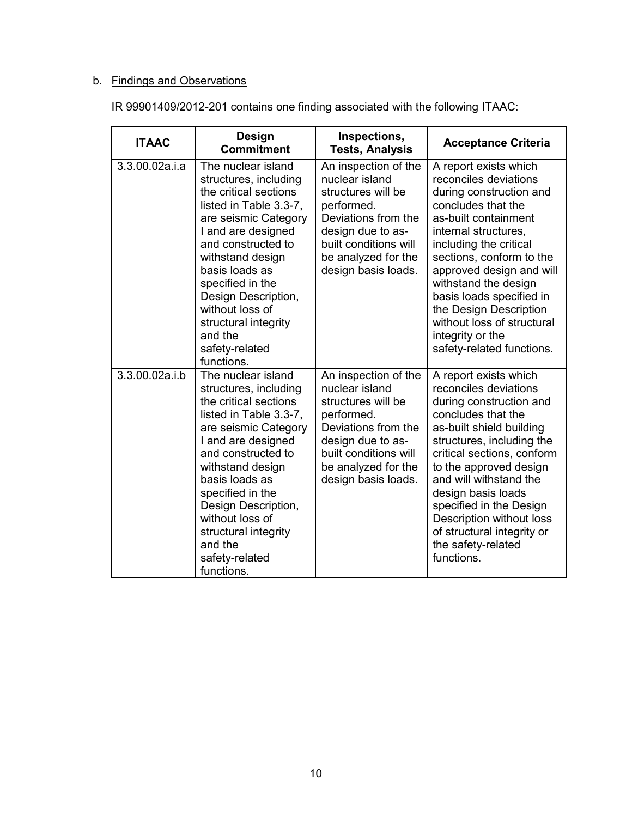# b. Findings and Observations

| IR 99901409/2012-201 contains one finding associated with the following ITAAC: |  |  |  |
|--------------------------------------------------------------------------------|--|--|--|
|                                                                                |  |  |  |

| <b>ITAAC</b>   | <b>Design</b><br><b>Commitment</b>                                                                                                                                                                                                                                                                                                        | Inspections,<br><b>Tests, Analysis</b>                                                                                                                                                        | <b>Acceptance Criteria</b>                                                                                                                                                                                                                                                                                                                                                                     |
|----------------|-------------------------------------------------------------------------------------------------------------------------------------------------------------------------------------------------------------------------------------------------------------------------------------------------------------------------------------------|-----------------------------------------------------------------------------------------------------------------------------------------------------------------------------------------------|------------------------------------------------------------------------------------------------------------------------------------------------------------------------------------------------------------------------------------------------------------------------------------------------------------------------------------------------------------------------------------------------|
| 3.3.00.02a.i.a | The nuclear island<br>structures, including<br>the critical sections<br>listed in Table 3.3-7,<br>are seismic Category<br>I and are designed<br>and constructed to<br>withstand design<br>basis loads as<br>specified in the<br>Design Description,<br>without loss of<br>structural integrity<br>and the<br>safety-related<br>functions. | An inspection of the<br>nuclear island<br>structures will be<br>performed.<br>Deviations from the<br>design due to as-<br>built conditions will<br>be analyzed for the<br>design basis loads. | A report exists which<br>reconciles deviations<br>during construction and<br>concludes that the<br>as-built containment<br>internal structures,<br>including the critical<br>sections, conform to the<br>approved design and will<br>withstand the design<br>basis loads specified in<br>the Design Description<br>without loss of structural<br>integrity or the<br>safety-related functions. |
| 3.3.00.02a.i.b | The nuclear island<br>structures, including<br>the critical sections<br>listed in Table 3.3-7,<br>are seismic Category<br>I and are designed<br>and constructed to<br>withstand design<br>basis loads as<br>specified in the<br>Design Description,<br>without loss of<br>structural integrity<br>and the<br>safety-related<br>functions. | An inspection of the<br>nuclear island<br>structures will be<br>performed.<br>Deviations from the<br>design due to as-<br>built conditions will<br>be analyzed for the<br>design basis loads. | A report exists which<br>reconciles deviations<br>during construction and<br>concludes that the<br>as-built shield building<br>structures, including the<br>critical sections, conform<br>to the approved design<br>and will withstand the<br>design basis loads<br>specified in the Design<br>Description without loss<br>of structural integrity or<br>the safety-related<br>functions.      |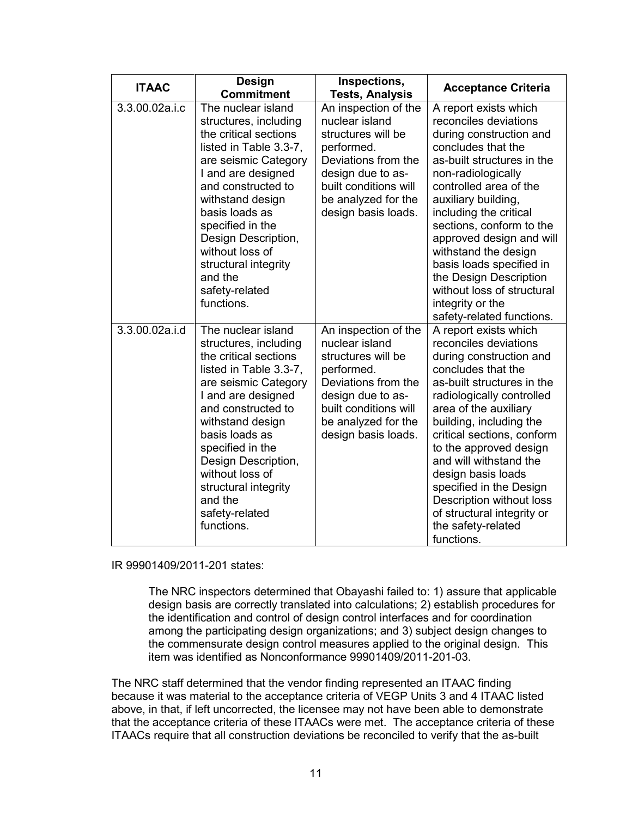| <b>ITAAC</b>   | <b>Design</b><br><b>Commitment</b>                                                                                                                                                                                                                                                                                                        | Inspections,<br><b>Tests, Analysis</b>                                                                                                                                                        | <b>Acceptance Criteria</b>                                                                                                                                                                                                                                                                                                                                                                                                                          |
|----------------|-------------------------------------------------------------------------------------------------------------------------------------------------------------------------------------------------------------------------------------------------------------------------------------------------------------------------------------------|-----------------------------------------------------------------------------------------------------------------------------------------------------------------------------------------------|-----------------------------------------------------------------------------------------------------------------------------------------------------------------------------------------------------------------------------------------------------------------------------------------------------------------------------------------------------------------------------------------------------------------------------------------------------|
| 3.3.00.02a.i.c | The nuclear island<br>structures, including<br>the critical sections<br>listed in Table 3.3-7,<br>are seismic Category<br>I and are designed<br>and constructed to<br>withstand design<br>basis loads as<br>specified in the<br>Design Description,<br>without loss of<br>structural integrity<br>and the<br>safety-related<br>functions. | An inspection of the<br>nuclear island<br>structures will be<br>performed.<br>Deviations from the<br>design due to as-<br>built conditions will<br>be analyzed for the<br>design basis loads. | A report exists which<br>reconciles deviations<br>during construction and<br>concludes that the<br>as-built structures in the<br>non-radiologically<br>controlled area of the<br>auxiliary building,<br>including the critical<br>sections, conform to the<br>approved design and will<br>withstand the design<br>basis loads specified in<br>the Design Description<br>without loss of structural<br>integrity or the<br>safety-related functions. |
| 3.3.00.02a.i.d | The nuclear island<br>structures, including<br>the critical sections<br>listed in Table 3.3-7,<br>are seismic Category<br>I and are designed<br>and constructed to<br>withstand design<br>basis loads as<br>specified in the<br>Design Description,<br>without loss of<br>structural integrity<br>and the<br>safety-related<br>functions. | An inspection of the<br>nuclear island<br>structures will be<br>performed.<br>Deviations from the<br>design due to as-<br>built conditions will<br>be analyzed for the<br>design basis loads. | A report exists which<br>reconciles deviations<br>during construction and<br>concludes that the<br>as-built structures in the<br>radiologically controlled<br>area of the auxiliary<br>building, including the<br>critical sections, conform<br>to the approved design<br>and will withstand the<br>design basis loads<br>specified in the Design<br>Description without loss<br>of structural integrity or<br>the safety-related<br>functions.     |

IR 99901409/2011-201 states:

The NRC inspectors determined that Obayashi failed to: 1) assure that applicable design basis are correctly translated into calculations; 2) establish procedures for the identification and control of design control interfaces and for coordination among the participating design organizations; and 3) subject design changes to the commensurate design control measures applied to the original design. This item was identified as Nonconformance 99901409/2011-201-03.

The NRC staff determined that the vendor finding represented an ITAAC finding because it was material to the acceptance criteria of VEGP Units 3 and 4 ITAAC listed above, in that, if left uncorrected, the licensee may not have been able to demonstrate that the acceptance criteria of these ITAACs were met. The acceptance criteria of these ITAACs require that all construction deviations be reconciled to verify that the as-built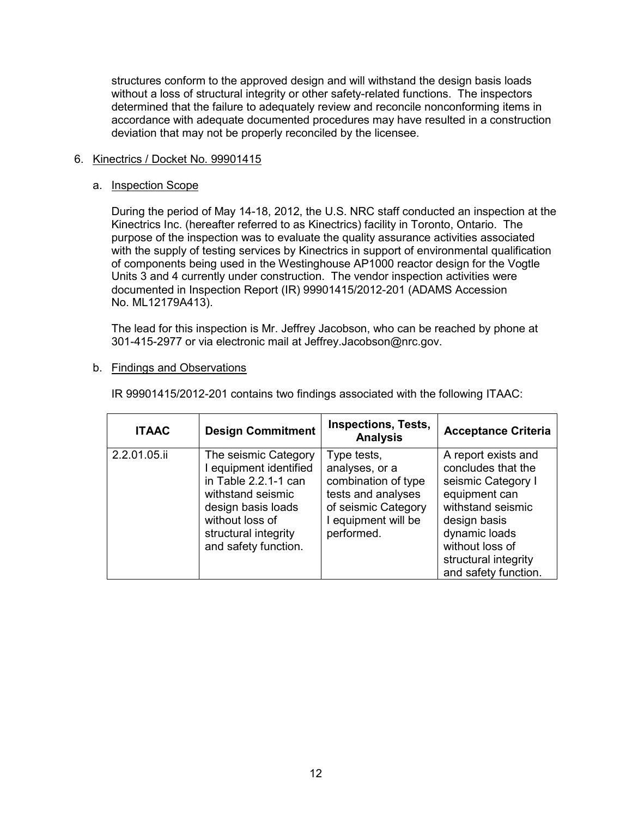structures conform to the approved design and will withstand the design basis loads without a loss of structural integrity or other safety-related functions. The inspectors determined that the failure to adequately review and reconcile nonconforming items in accordance with adequate documented procedures may have resulted in a construction deviation that may not be properly reconciled by the licensee.

# 6. Kinectrics / Docket No. 99901415

# a. Inspection Scope

During the period of May 14-18, 2012, the U.S. NRC staff conducted an inspection at the Kinectrics Inc. (hereafter referred to as Kinectrics) facility in Toronto, Ontario. The purpose of the inspection was to evaluate the quality assurance activities associated with the supply of testing services by Kinectrics in support of environmental qualification of components being used in the Westinghouse AP1000 reactor design for the Vogtle Units 3 and 4 currently under construction. The vendor inspection activities were documented in Inspection Report (IR) 99901415/2012-201 (ADAMS Accession No. ML12179A413).

The lead for this inspection is Mr. Jeffrey Jacobson, who can be reached by phone at 301-415-2977 or via electronic mail at Jeffrey.Jacobson@nrc.gov.

## b. Findings and Observations

| <b>ITAAC</b> | <b>Design Commitment</b>                                                                                                                                                             | <b>Inspections, Tests,</b><br><b>Analysis</b>                                                                                          | <b>Acceptance Criteria</b>                                                                                                                                                                                |
|--------------|--------------------------------------------------------------------------------------------------------------------------------------------------------------------------------------|----------------------------------------------------------------------------------------------------------------------------------------|-----------------------------------------------------------------------------------------------------------------------------------------------------------------------------------------------------------|
| 2.2.01.05.ii | The seismic Category<br>I equipment identified<br>in Table 2.2.1-1 can<br>withstand seismic<br>design basis loads<br>without loss of<br>structural integrity<br>and safety function. | Type tests,<br>analyses, or a<br>combination of type<br>tests and analyses<br>of seismic Category<br>I equipment will be<br>performed. | A report exists and<br>concludes that the<br>seismic Category I<br>equipment can<br>withstand seismic<br>design basis<br>dynamic loads<br>without loss of<br>structural integrity<br>and safety function. |

IR 99901415/2012-201 contains two findings associated with the following ITAAC: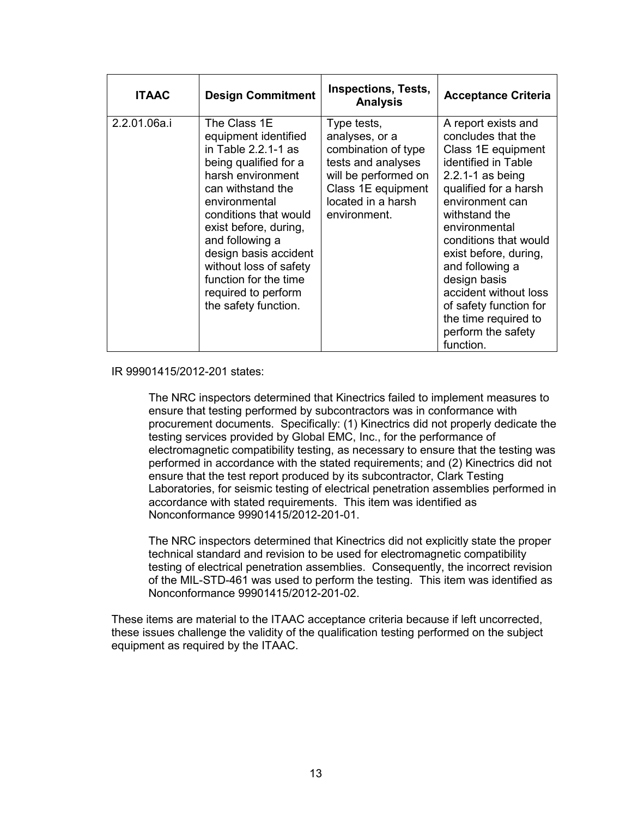| <b>ITAAC</b> | <b>Design Commitment</b>                                                                                                                                                                                                                                                                                                                            | <b>Inspections, Tests,</b><br><b>Analysis</b>                                                                                                                  | <b>Acceptance Criteria</b>                                                                                                                                                                                                                                                                                                                                                                      |
|--------------|-----------------------------------------------------------------------------------------------------------------------------------------------------------------------------------------------------------------------------------------------------------------------------------------------------------------------------------------------------|----------------------------------------------------------------------------------------------------------------------------------------------------------------|-------------------------------------------------------------------------------------------------------------------------------------------------------------------------------------------------------------------------------------------------------------------------------------------------------------------------------------------------------------------------------------------------|
| 2.2.01.06a.i | The Class 1E<br>equipment identified<br>in Table $2.2.1 - 1$ as<br>being qualified for a<br>harsh environment<br>can withstand the<br>environmental<br>conditions that would<br>exist before, during,<br>and following a<br>design basis accident<br>without loss of safety<br>function for the time<br>required to perform<br>the safety function. | Type tests,<br>analyses, or a<br>combination of type<br>tests and analyses<br>will be performed on<br>Class 1E equipment<br>located in a harsh<br>environment. | A report exists and<br>concludes that the<br>Class 1E equipment<br>identified in Table<br>$2.2.1 - 1$ as being<br>qualified for a harsh<br>environment can<br>withstand the<br>environmental<br>conditions that would<br>exist before, during,<br>and following a<br>design basis<br>accident without loss<br>of safety function for<br>the time required to<br>perform the safety<br>function. |

#### IR 99901415/2012-201 states:

The NRC inspectors determined that Kinectrics failed to implement measures to ensure that testing performed by subcontractors was in conformance with procurement documents. Specifically: (1) Kinectrics did not properly dedicate the testing services provided by Global EMC, Inc., for the performance of electromagnetic compatibility testing, as necessary to ensure that the testing was performed in accordance with the stated requirements; and (2) Kinectrics did not ensure that the test report produced by its subcontractor, Clark Testing Laboratories, for seismic testing of electrical penetration assemblies performed in accordance with stated requirements. This item was identified as Nonconformance 99901415/2012-201-01.

The NRC inspectors determined that Kinectrics did not explicitly state the proper technical standard and revision to be used for electromagnetic compatibility testing of electrical penetration assemblies. Consequently, the incorrect revision of the MIL-STD-461 was used to perform the testing. This item was identified as Nonconformance 99901415/2012-201-02.

These items are material to the ITAAC acceptance criteria because if left uncorrected, these issues challenge the validity of the qualification testing performed on the subject equipment as required by the ITAAC.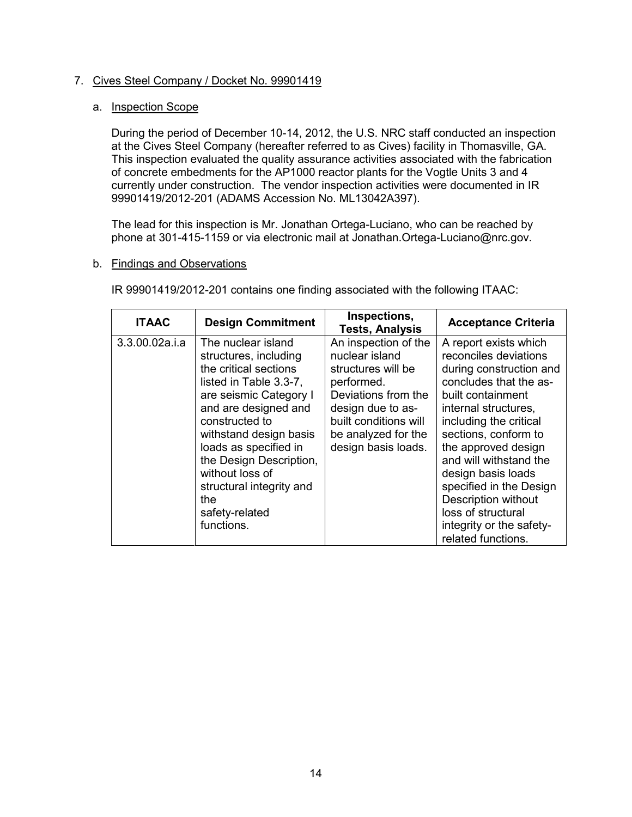# 7. Cives Steel Company / Docket No. 99901419

# a. Inspection Scope

During the period of December 10-14, 2012, the U.S. NRC staff conducted an inspection at the Cives Steel Company (hereafter referred to as Cives) facility in Thomasville, GA. This inspection evaluated the quality assurance activities associated with the fabrication of concrete embedments for the AP1000 reactor plants for the Vogtle Units 3 and 4 currently under construction. The vendor inspection activities were documented in IR 99901419/2012-201 (ADAMS Accession No. ML13042A397).

The lead for this inspection is Mr. Jonathan Ortega-Luciano, who can be reached by phone at 301-415-1159 or via electronic mail at Jonathan.Ortega-Luciano@nrc.gov.

## b. Findings and Observations

IR 99901419/2012-201 contains one finding associated with the following ITAAC:

| <b>ITAAC</b>   | <b>Design Commitment</b>                                                                                                                                                                                                                                                                                                                | Inspections,<br><b>Tests, Analysis</b>                                                                                                                                                        | <b>Acceptance Criteria</b>                                                                                                                                                                                                                                                                                                                                                                                 |
|----------------|-----------------------------------------------------------------------------------------------------------------------------------------------------------------------------------------------------------------------------------------------------------------------------------------------------------------------------------------|-----------------------------------------------------------------------------------------------------------------------------------------------------------------------------------------------|------------------------------------------------------------------------------------------------------------------------------------------------------------------------------------------------------------------------------------------------------------------------------------------------------------------------------------------------------------------------------------------------------------|
| 3.3.00.02a.i.a | The nuclear island<br>structures, including<br>the critical sections<br>listed in Table 3.3-7.<br>are seismic Category I<br>and are designed and<br>constructed to<br>withstand design basis<br>loads as specified in<br>the Design Description,<br>without loss of<br>structural integrity and<br>the.<br>safety-related<br>functions. | An inspection of the<br>nuclear island<br>structures will be<br>performed.<br>Deviations from the<br>design due to as-<br>built conditions will<br>be analyzed for the<br>design basis loads. | A report exists which<br>reconciles deviations<br>during construction and<br>concludes that the as-<br>built containment<br>internal structures,<br>including the critical<br>sections, conform to<br>the approved design<br>and will withstand the<br>design basis loads<br>specified in the Design<br><b>Description without</b><br>loss of structural<br>integrity or the safety-<br>related functions. |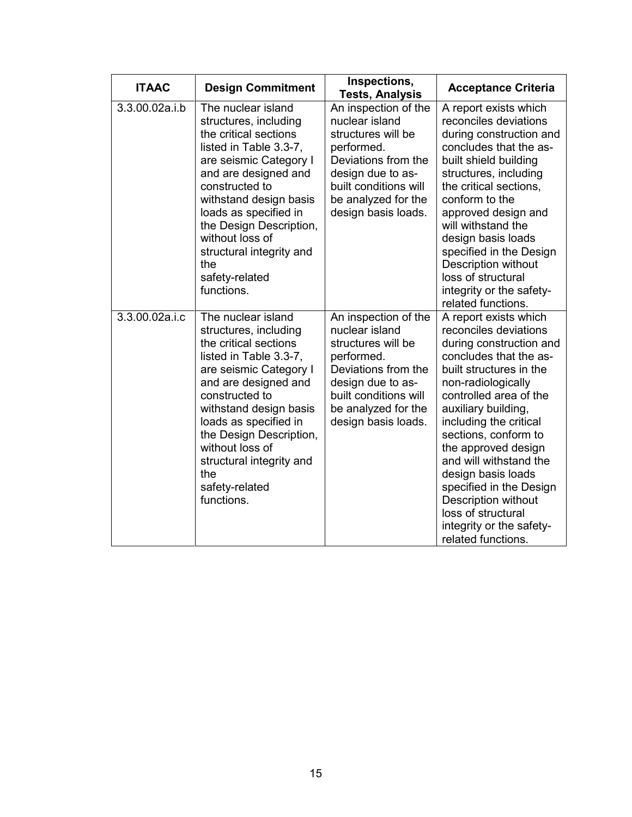| <b>ITAAC</b>   | <b>Design Commitment</b>                                                                                                                                                                                                                                                                                                               | Inspections,<br><b>Tests, Analysis</b>                                                                                                                                                        | <b>Acceptance Criteria</b>                                                                                                                                                                                                                                                                                                                                                                                                                               |
|----------------|----------------------------------------------------------------------------------------------------------------------------------------------------------------------------------------------------------------------------------------------------------------------------------------------------------------------------------------|-----------------------------------------------------------------------------------------------------------------------------------------------------------------------------------------------|----------------------------------------------------------------------------------------------------------------------------------------------------------------------------------------------------------------------------------------------------------------------------------------------------------------------------------------------------------------------------------------------------------------------------------------------------------|
| 3.3.00.02a.i.b | The nuclear island<br>structures, including<br>the critical sections<br>listed in Table 3.3-7,<br>are seismic Category I<br>and are designed and<br>constructed to<br>withstand design basis<br>loads as specified in<br>the Design Description,<br>without loss of<br>structural integrity and<br>the<br>safety-related<br>functions. | An inspection of the<br>nuclear island<br>structures will be<br>performed.<br>Deviations from the<br>design due to as-<br>built conditions will<br>be analyzed for the<br>design basis loads. | A report exists which<br>reconciles deviations<br>during construction and<br>concludes that the as-<br>built shield building<br>structures, including<br>the critical sections,<br>conform to the<br>approved design and<br>will withstand the<br>design basis loads<br>specified in the Design<br>Description without<br>loss of structural<br>integrity or the safety-<br>related functions.                                                           |
| 3.3.00.02a.i.c | The nuclear island<br>structures, including<br>the critical sections<br>listed in Table 3.3-7,<br>are seismic Category I<br>and are designed and<br>constructed to<br>withstand design basis<br>loads as specified in<br>the Design Description,<br>without loss of<br>structural integrity and<br>the<br>safety-related<br>functions. | An inspection of the<br>nuclear island<br>structures will be<br>performed.<br>Deviations from the<br>design due to as-<br>built conditions will<br>be analyzed for the<br>design basis loads. | A report exists which<br>reconciles deviations<br>during construction and<br>concludes that the as-<br>built structures in the<br>non-radiologically<br>controlled area of the<br>auxiliary building,<br>including the critical<br>sections, conform to<br>the approved design<br>and will withstand the<br>design basis loads<br>specified in the Design<br>Description without<br>loss of structural<br>integrity or the safety-<br>related functions. |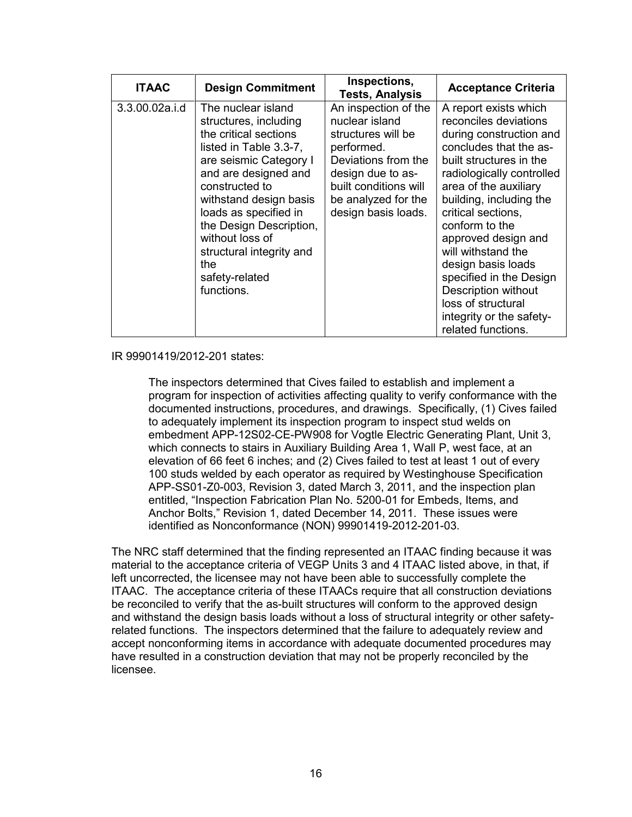| <b>ITAAC</b>   | <b>Design Commitment</b>                                                                                                                                                                                                                                                                                                                | Inspections,<br><b>Tests, Analysis</b>                                                                                                                                                        | <b>Acceptance Criteria</b>                                                                                                                                                                                                                                                                                                                                                                                                                                  |
|----------------|-----------------------------------------------------------------------------------------------------------------------------------------------------------------------------------------------------------------------------------------------------------------------------------------------------------------------------------------|-----------------------------------------------------------------------------------------------------------------------------------------------------------------------------------------------|-------------------------------------------------------------------------------------------------------------------------------------------------------------------------------------------------------------------------------------------------------------------------------------------------------------------------------------------------------------------------------------------------------------------------------------------------------------|
| 3.3.00.02a.i.d | The nuclear island<br>structures, including<br>the critical sections<br>listed in Table 3.3-7,<br>are seismic Category I<br>and are designed and<br>constructed to<br>withstand design basis<br>loads as specified in<br>the Design Description,<br>without loss of<br>structural integrity and<br>the.<br>safety-related<br>functions. | An inspection of the<br>nuclear island<br>structures will be<br>performed.<br>Deviations from the<br>design due to as-<br>built conditions will<br>be analyzed for the<br>design basis loads. | A report exists which<br>reconciles deviations<br>during construction and<br>concludes that the as-<br>built structures in the<br>radiologically controlled<br>area of the auxiliary<br>building, including the<br>critical sections,<br>conform to the<br>approved design and<br>will withstand the<br>design basis loads<br>specified in the Design<br><b>Description without</b><br>loss of structural<br>integrity or the safety-<br>related functions. |

#### IR 99901419/2012-201 states:

The inspectors determined that Cives failed to establish and implement a program for inspection of activities affecting quality to verify conformance with the documented instructions, procedures, and drawings. Specifically, (1) Cives failed to adequately implement its inspection program to inspect stud welds on embedment APP-12S02-CE-PW908 for Vogtle Electric Generating Plant, Unit 3, which connects to stairs in Auxiliary Building Area 1, Wall P, west face, at an elevation of 66 feet 6 inches; and (2) Cives failed to test at least 1 out of every 100 studs welded by each operator as required by Westinghouse Specification APP-SS01-Z0-003, Revision 3, dated March 3, 2011, and the inspection plan entitled, "Inspection Fabrication Plan No. 5200-01 for Embeds, Items, and Anchor Bolts," Revision 1, dated December 14, 2011. These issues were identified as Nonconformance (NON) 99901419-2012-201-03.

The NRC staff determined that the finding represented an ITAAC finding because it was material to the acceptance criteria of VEGP Units 3 and 4 ITAAC listed above, in that, if left uncorrected, the licensee may not have been able to successfully complete the ITAAC. The acceptance criteria of these ITAACs require that all construction deviations be reconciled to verify that the as-built structures will conform to the approved design and withstand the design basis loads without a loss of structural integrity or other safetyrelated functions. The inspectors determined that the failure to adequately review and accept nonconforming items in accordance with adequate documented procedures may have resulted in a construction deviation that may not be properly reconciled by the licensee.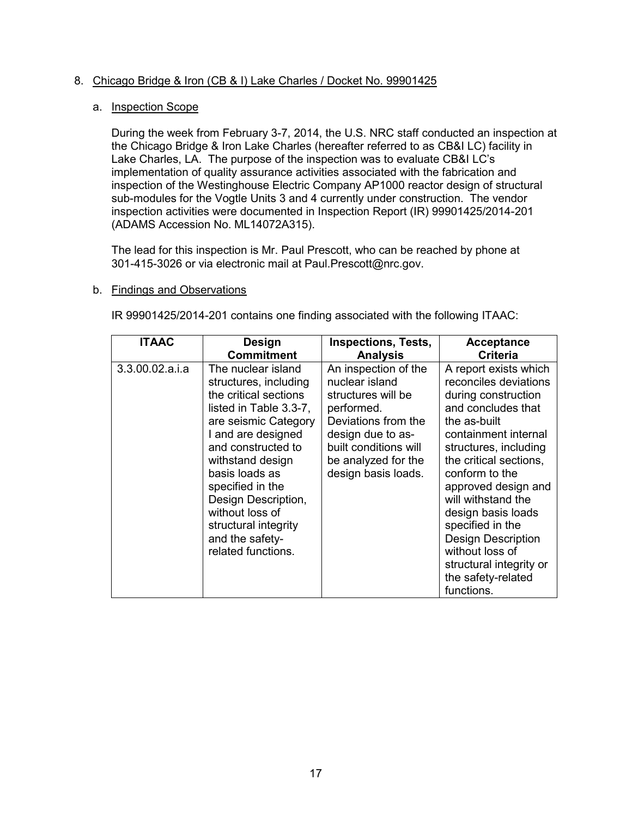# 8. Chicago Bridge & Iron (CB & I) Lake Charles / Docket No. 99901425

# a. Inspection Scope

During the week from February 3-7, 2014, the U.S. NRC staff conducted an inspection at the Chicago Bridge & Iron Lake Charles (hereafter referred to as CB&I LC) facility in Lake Charles, LA. The purpose of the inspection was to evaluate CB&I LC's implementation of quality assurance activities associated with the fabrication and inspection of the Westinghouse Electric Company AP1000 reactor design of structural sub-modules for the Vogtle Units 3 and 4 currently under construction. The vendor inspection activities were documented in Inspection Report (IR) 99901425/2014-201 (ADAMS Accession No. ML14072A315).

The lead for this inspection is Mr. Paul Prescott, who can be reached by phone at 301-415-3026 or via electronic mail at Paul.Prescott@nrc.gov.

## b. Findings and Observations

IR 99901425/2014-201 contains one finding associated with the following ITAAC:

| <b>ITAAC</b>    | <b>Design</b>                                                                                                                                                                                                                                                                                                                           | <b>Inspections, Tests,</b>                                                                                                                                                                    | <b>Acceptance</b>                                                                                                                                                                                                                                                                                                                                                                                              |
|-----------------|-----------------------------------------------------------------------------------------------------------------------------------------------------------------------------------------------------------------------------------------------------------------------------------------------------------------------------------------|-----------------------------------------------------------------------------------------------------------------------------------------------------------------------------------------------|----------------------------------------------------------------------------------------------------------------------------------------------------------------------------------------------------------------------------------------------------------------------------------------------------------------------------------------------------------------------------------------------------------------|
|                 | <b>Commitment</b>                                                                                                                                                                                                                                                                                                                       | <b>Analysis</b>                                                                                                                                                                               | <b>Criteria</b>                                                                                                                                                                                                                                                                                                                                                                                                |
| 3.3.00.02.a.i.a | The nuclear island<br>structures, including<br>the critical sections<br>listed in Table 3.3-7,<br>are seismic Category<br>I and are designed<br>and constructed to<br>withstand design<br>basis loads as<br>specified in the<br>Design Description,<br>without loss of<br>structural integrity<br>and the safety-<br>related functions. | An inspection of the<br>nuclear island<br>structures will be<br>performed.<br>Deviations from the<br>design due to as-<br>built conditions will<br>be analyzed for the<br>design basis loads. | A report exists which<br>reconciles deviations<br>during construction<br>and concludes that<br>the as-built<br>containment internal<br>structures, including<br>the critical sections,<br>conform to the<br>approved design and<br>will withstand the<br>design basis loads<br>specified in the<br><b>Design Description</b><br>without loss of<br>structural integrity or<br>the safety-related<br>functions. |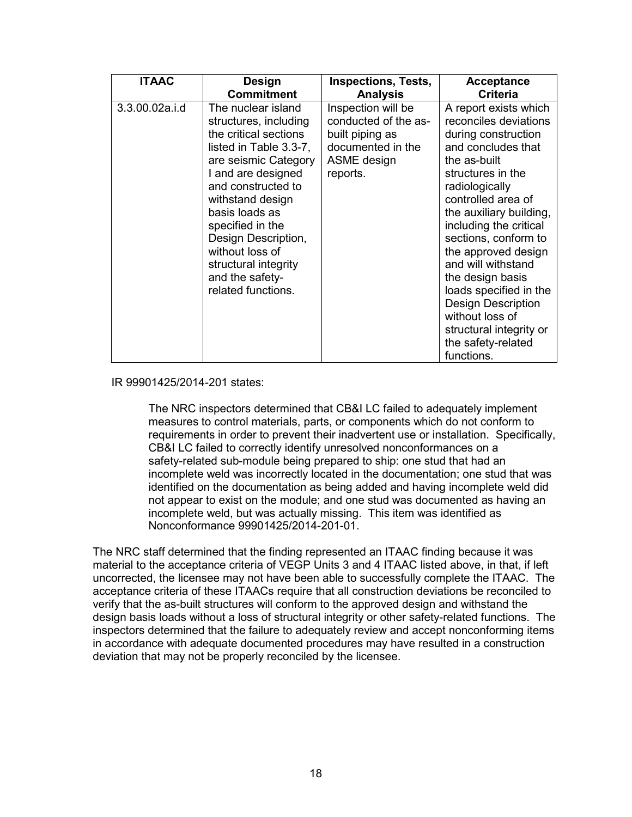| <b>ITAAC</b>   | Design                                                                                                                                                                                                                                                                                                                                  | <b>Inspections, Tests,</b>                                                                                    | <b>Acceptance</b>                                                                                                                                                                                                                                                                                                                                                                                                                                               |
|----------------|-----------------------------------------------------------------------------------------------------------------------------------------------------------------------------------------------------------------------------------------------------------------------------------------------------------------------------------------|---------------------------------------------------------------------------------------------------------------|-----------------------------------------------------------------------------------------------------------------------------------------------------------------------------------------------------------------------------------------------------------------------------------------------------------------------------------------------------------------------------------------------------------------------------------------------------------------|
|                | <b>Commitment</b>                                                                                                                                                                                                                                                                                                                       | <b>Analysis</b>                                                                                               | <b>Criteria</b>                                                                                                                                                                                                                                                                                                                                                                                                                                                 |
| 3.3.00.02a.i.d | The nuclear island<br>structures, including<br>the critical sections<br>listed in Table 3.3-7,<br>are seismic Category<br>I and are designed<br>and constructed to<br>withstand design<br>basis loads as<br>specified in the<br>Design Description,<br>without loss of<br>structural integrity<br>and the safety-<br>related functions. | Inspection will be<br>conducted of the as-<br>built piping as<br>documented in the<br>ASME design<br>reports. | A report exists which<br>reconciles deviations<br>during construction<br>and concludes that<br>the as-built<br>structures in the<br>radiologically<br>controlled area of<br>the auxiliary building,<br>including the critical<br>sections, conform to<br>the approved design<br>and will withstand<br>the design basis<br>loads specified in the<br><b>Design Description</b><br>without loss of<br>structural integrity or<br>the safety-related<br>functions. |

#### IR 99901425/2014-201 states:

The NRC inspectors determined that CB&I LC failed to adequately implement measures to control materials, parts, or components which do not conform to requirements in order to prevent their inadvertent use or installation. Specifically, CB&I LC failed to correctly identify unresolved nonconformances on a safety-related sub-module being prepared to ship: one stud that had an incomplete weld was incorrectly located in the documentation; one stud that was identified on the documentation as being added and having incomplete weld did not appear to exist on the module; and one stud was documented as having an incomplete weld, but was actually missing. This item was identified as Nonconformance 99901425/2014-201-01.

The NRC staff determined that the finding represented an ITAAC finding because it was material to the acceptance criteria of VEGP Units 3 and 4 ITAAC listed above, in that, if left uncorrected, the licensee may not have been able to successfully complete the ITAAC. The acceptance criteria of these ITAACs require that all construction deviations be reconciled to verify that the as-built structures will conform to the approved design and withstand the design basis loads without a loss of structural integrity or other safety-related functions. The inspectors determined that the failure to adequately review and accept nonconforming items in accordance with adequate documented procedures may have resulted in a construction deviation that may not be properly reconciled by the licensee.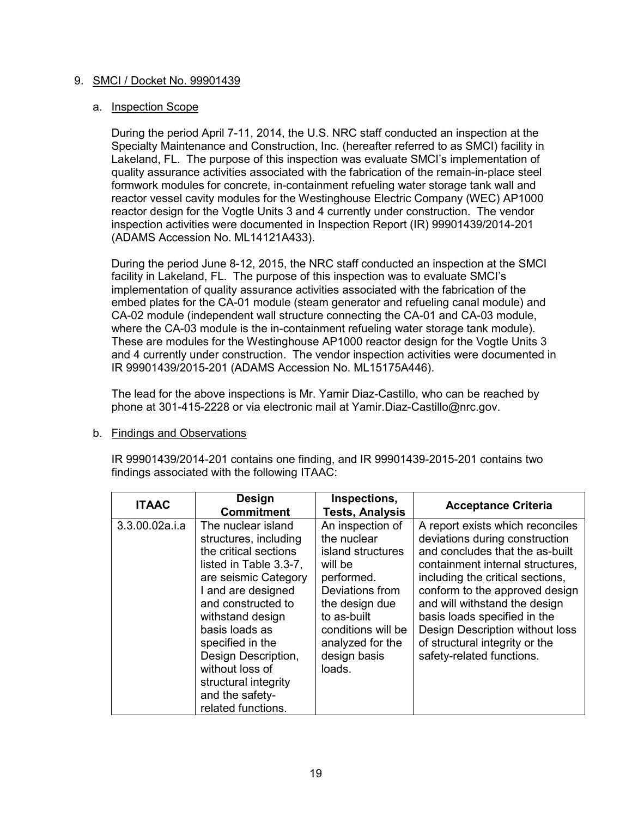# 9. SMCI / Docket No. 99901439

# a. Inspection Scope

During the period April 7-11, 2014, the U.S. NRC staff conducted an inspection at the Specialty Maintenance and Construction, Inc. (hereafter referred to as SMCI) facility in Lakeland, FL. The purpose of this inspection was evaluate SMCI's implementation of quality assurance activities associated with the fabrication of the remain-in-place steel formwork modules for concrete, in-containment refueling water storage tank wall and reactor vessel cavity modules for the Westinghouse Electric Company (WEC) AP1000 reactor design for the Vogtle Units 3 and 4 currently under construction. The vendor inspection activities were documented in Inspection Report (IR) 99901439/2014-201 (ADAMS Accession No. ML14121A433).

During the period June 8-12, 2015, the NRC staff conducted an inspection at the SMCI facility in Lakeland, FL. The purpose of this inspection was to evaluate SMCI's implementation of quality assurance activities associated with the fabrication of the embed plates for the CA-01 module (steam generator and refueling canal module) and CA-02 module (independent wall structure connecting the CA-01 and CA-03 module, where the CA-03 module is the in-containment refueling water storage tank module). These are modules for the Westinghouse AP1000 reactor design for the Vogtle Units 3 and 4 currently under construction. The vendor inspection activities were documented in IR 99901439/2015-201 (ADAMS Accession No. ML15175A446).

The lead for the above inspections is Mr. Yamir Diaz-Castillo, who can be reached by phone at 301-415-2228 or via electronic mail at Yamir.Diaz-Castillo@nrc.gov.

## b. Findings and Observations

IR 99901439/2014-201 contains one finding, and IR 99901439-2015-201 contains two findings associated with the following ITAAC:

| <b>ITAAC</b>   | Design<br><b>Commitment</b>                                                                                                                                                                                                                                                                                                             | Inspections,<br><b>Tests, Analysis</b>                                                                                                                                                                | <b>Acceptance Criteria</b>                                                                                                                                                                                                                                                                                                                                                         |
|----------------|-----------------------------------------------------------------------------------------------------------------------------------------------------------------------------------------------------------------------------------------------------------------------------------------------------------------------------------------|-------------------------------------------------------------------------------------------------------------------------------------------------------------------------------------------------------|------------------------------------------------------------------------------------------------------------------------------------------------------------------------------------------------------------------------------------------------------------------------------------------------------------------------------------------------------------------------------------|
| 3.3.00.02a.i.a | The nuclear island<br>structures, including<br>the critical sections<br>listed in Table 3.3-7.<br>are seismic Category<br>I and are designed<br>and constructed to<br>withstand design<br>basis loads as<br>specified in the<br>Design Description,<br>without loss of<br>structural integrity<br>and the safety-<br>related functions. | An inspection of<br>the nuclear<br>island structures<br>will be<br>performed.<br>Deviations from<br>the design due<br>to as-built<br>conditions will be<br>analyzed for the<br>design basis<br>loads. | A report exists which reconciles<br>deviations during construction<br>and concludes that the as-built<br>containment internal structures.<br>including the critical sections,<br>conform to the approved design<br>and will withstand the design<br>basis loads specified in the<br>Design Description without loss<br>of structural integrity or the<br>safety-related functions. |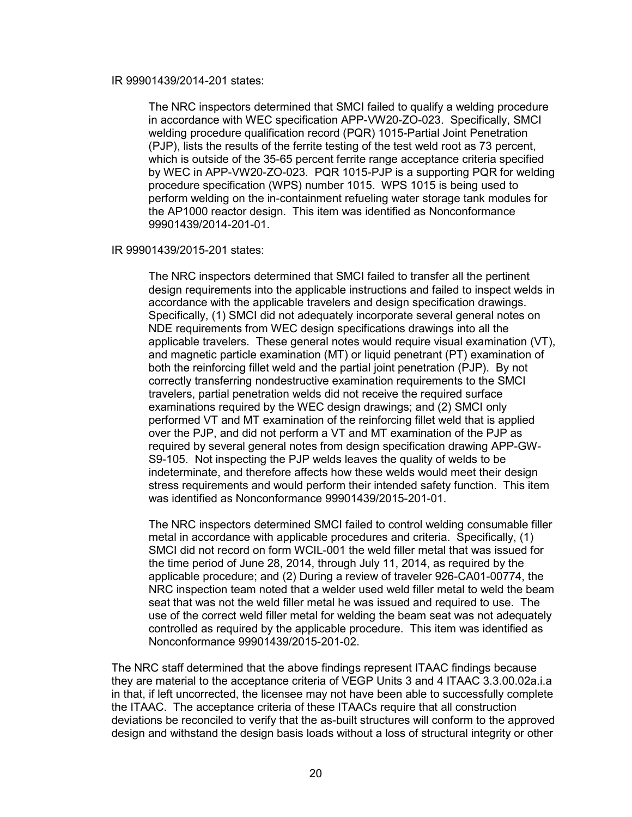#### IR 99901439/2014-201 states:

The NRC inspectors determined that SMCI failed to qualify a welding procedure in accordance with WEC specification APP-VW20-ZO-023. Specifically, SMCI welding procedure qualification record (PQR) 1015-Partial Joint Penetration (PJP), lists the results of the ferrite testing of the test weld root as 73 percent, which is outside of the 35-65 percent ferrite range acceptance criteria specified by WEC in APP-VW20-ZO-023. PQR 1015-PJP is a supporting PQR for welding procedure specification (WPS) number 1015. WPS 1015 is being used to perform welding on the in-containment refueling water storage tank modules for the AP1000 reactor design. This item was identified as Nonconformance 99901439/2014-201-01.

#### IR 99901439/2015-201 states:

The NRC inspectors determined that SMCI failed to transfer all the pertinent design requirements into the applicable instructions and failed to inspect welds in accordance with the applicable travelers and design specification drawings. Specifically, (1) SMCI did not adequately incorporate several general notes on NDE requirements from WEC design specifications drawings into all the applicable travelers. These general notes would require visual examination (VT), and magnetic particle examination (MT) or liquid penetrant (PT) examination of both the reinforcing fillet weld and the partial joint penetration (PJP). By not correctly transferring nondestructive examination requirements to the SMCI travelers, partial penetration welds did not receive the required surface examinations required by the WEC design drawings; and (2) SMCI only performed VT and MT examination of the reinforcing fillet weld that is applied over the PJP, and did not perform a VT and MT examination of the PJP as required by several general notes from design specification drawing APP-GW-S9-105. Not inspecting the PJP welds leaves the quality of welds to be indeterminate, and therefore affects how these welds would meet their design stress requirements and would perform their intended safety function. This item was identified as Nonconformance 99901439/2015-201-01.

The NRC inspectors determined SMCI failed to control welding consumable filler metal in accordance with applicable procedures and criteria. Specifically, (1) SMCI did not record on form WCIL-001 the weld filler metal that was issued for the time period of June 28, 2014, through July 11, 2014, as required by the applicable procedure; and (2) During a review of traveler 926-CA01-00774, the NRC inspection team noted that a welder used weld filler metal to weld the beam seat that was not the weld filler metal he was issued and required to use. The use of the correct weld filler metal for welding the beam seat was not adequately controlled as required by the applicable procedure. This item was identified as Nonconformance 99901439/2015-201-02.

The NRC staff determined that the above findings represent ITAAC findings because they are material to the acceptance criteria of VEGP Units 3 and 4 ITAAC 3.3.00.02a.i.a in that, if left uncorrected, the licensee may not have been able to successfully complete the ITAAC. The acceptance criteria of these ITAACs require that all construction deviations be reconciled to verify that the as-built structures will conform to the approved design and withstand the design basis loads without a loss of structural integrity or other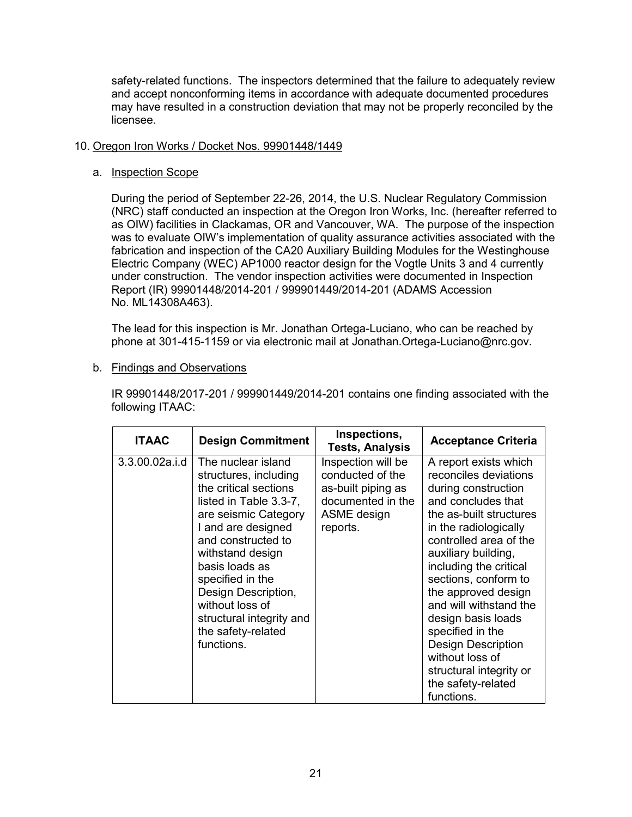safety-related functions. The inspectors determined that the failure to adequately review and accept nonconforming items in accordance with adequate documented procedures may have resulted in a construction deviation that may not be properly reconciled by the licensee.

# 10. Oregon Iron Works / Docket Nos. 99901448/1449

# a. Inspection Scope

During the period of September 22-26, 2014, the U.S. Nuclear Regulatory Commission (NRC) staff conducted an inspection at the Oregon Iron Works, Inc. (hereafter referred to as OIW) facilities in Clackamas, OR and Vancouver, WA. The purpose of the inspection was to evaluate OIW's implementation of quality assurance activities associated with the fabrication and inspection of the CA20 Auxiliary Building Modules for the Westinghouse Electric Company (WEC) AP1000 reactor design for the Vogtle Units 3 and 4 currently under construction. The vendor inspection activities were documented in Inspection Report (IR) 99901448/2014-201 / 999901449/2014-201 (ADAMS Accession No. ML14308A463).

The lead for this inspection is Mr. Jonathan Ortega-Luciano, who can be reached by phone at 301-415-1159 or via electronic mail at Jonathan.Ortega-Luciano@nrc.gov.

# b. Findings and Observations

IR 99901448/2017-201 / 999901449/2014-201 contains one finding associated with the following ITAAC:

| <b>ITAAC</b>   | <b>Design Commitment</b>                                                                                                                                                                                                                                                                                                               | Inspections,<br><b>Tests, Analysis</b>                                                                       | <b>Acceptance Criteria</b>                                                                                                                                                                                                                                                                                                                                                                                                                                   |
|----------------|----------------------------------------------------------------------------------------------------------------------------------------------------------------------------------------------------------------------------------------------------------------------------------------------------------------------------------------|--------------------------------------------------------------------------------------------------------------|--------------------------------------------------------------------------------------------------------------------------------------------------------------------------------------------------------------------------------------------------------------------------------------------------------------------------------------------------------------------------------------------------------------------------------------------------------------|
| 3.3.00.02a.i.d | The nuclear island<br>structures, including<br>the critical sections<br>listed in Table 3.3-7,<br>are seismic Category<br>I and are designed<br>and constructed to<br>withstand design<br>basis loads as<br>specified in the<br>Design Description,<br>without loss of<br>structural integrity and<br>the safety-related<br>functions. | Inspection will be<br>conducted of the<br>as-built piping as<br>documented in the<br>ASME design<br>reports. | A report exists which<br>reconciles deviations<br>during construction<br>and concludes that<br>the as-built structures<br>in the radiologically<br>controlled area of the<br>auxiliary building,<br>including the critical<br>sections, conform to<br>the approved design<br>and will withstand the<br>design basis loads<br>specified in the<br><b>Design Description</b><br>without loss of<br>structural integrity or<br>the safety-related<br>functions. |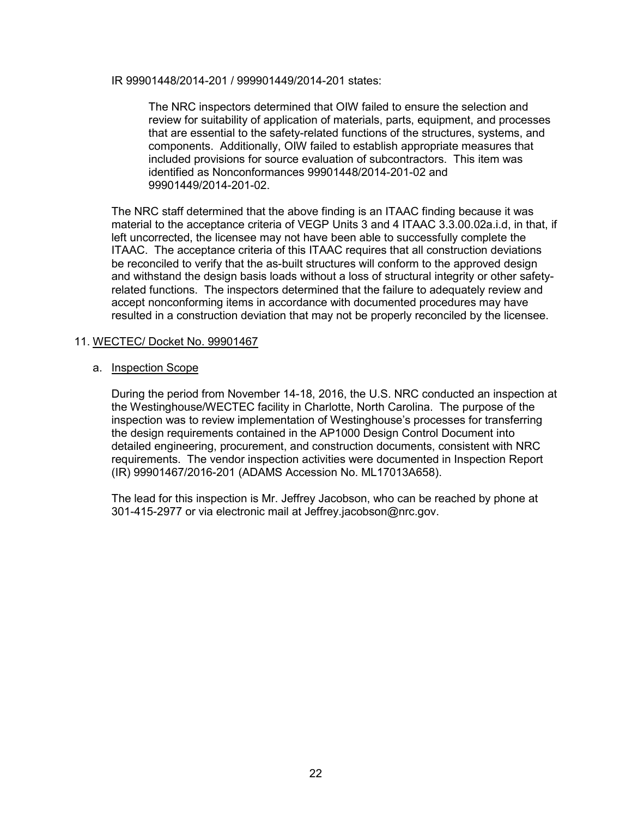IR 99901448/2014-201 / 999901449/2014-201 states:

The NRC inspectors determined that OIW failed to ensure the selection and review for suitability of application of materials, parts, equipment, and processes that are essential to the safety-related functions of the structures, systems, and components. Additionally, OIW failed to establish appropriate measures that included provisions for source evaluation of subcontractors. This item was identified as Nonconformances 99901448/2014-201-02 and 99901449/2014-201-02.

The NRC staff determined that the above finding is an ITAAC finding because it was material to the acceptance criteria of VEGP Units 3 and 4 ITAAC 3.3.00.02a.i.d, in that, if left uncorrected, the licensee may not have been able to successfully complete the ITAAC. The acceptance criteria of this ITAAC requires that all construction deviations be reconciled to verify that the as-built structures will conform to the approved design and withstand the design basis loads without a loss of structural integrity or other safetyrelated functions. The inspectors determined that the failure to adequately review and accept nonconforming items in accordance with documented procedures may have resulted in a construction deviation that may not be properly reconciled by the licensee.

# 11. WECTEC/ Docket No. 99901467

## a. Inspection Scope

During the period from November 14-18, 2016, the U.S. NRC conducted an inspection at the Westinghouse/WECTEC facility in Charlotte, North Carolina. The purpose of the inspection was to review implementation of Westinghouse's processes for transferring the design requirements contained in the AP1000 Design Control Document into detailed engineering, procurement, and construction documents, consistent with NRC requirements. The vendor inspection activities were documented in Inspection Report (IR) 99901467/2016-201 (ADAMS Accession No. ML17013A658).

The lead for this inspection is Mr. Jeffrey Jacobson, who can be reached by phone at 301-415-2977 or via electronic mail at Jeffrey.jacobson@nrc.gov.